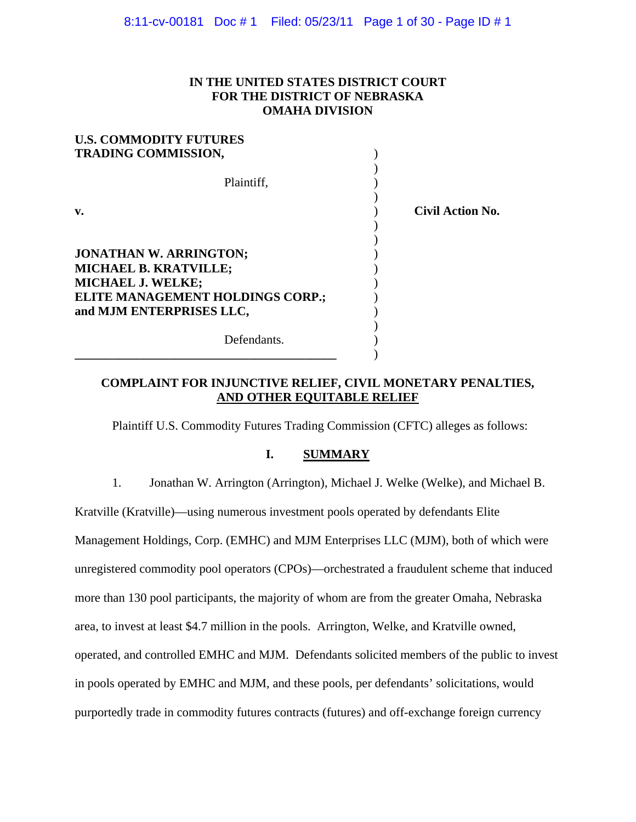## **IN THE UNITED STATES DISTRICT COURT FOR THE DISTRICT OF NEBRASKA OMAHA DIVISION**

| <b>U.S. COMMODITY FUTURES</b>                                                             |                         |
|-------------------------------------------------------------------------------------------|-------------------------|
| <b>TRADING COMMISSION,</b>                                                                |                         |
| Plaintiff,                                                                                |                         |
| $\mathbf{v}$ .                                                                            | <b>Civil Action No.</b> |
| <b>JONATHAN W. ARRINGTON;</b><br><b>MICHAEL B. KRATVILLE;</b><br><b>MICHAEL J. WELKE;</b> |                         |
| ELITE MANAGEMENT HOLDINGS CORP.;<br>and MJM ENTERPRISES LLC,                              |                         |
| Defendants.                                                                               |                         |

## **COMPLAINT FOR INJUNCTIVE RELIEF, CIVIL MONETARY PENALTIES, AND OTHER EQUITABLE RELIEF**

Plaintiff U.S. Commodity Futures Trading Commission (CFTC) alleges as follows:

## **I. SUMMARY**

1. Jonathan W. Arrington (Arrington), Michael J. Welke (Welke), and Michael B.

Kratville (Kratville)—using numerous investment pools operated by defendants Elite

Management Holdings, Corp. (EMHC) and MJM Enterprises LLC (MJM), both of which were

unregistered commodity pool operators (CPOs)—orchestrated a fraudulent scheme that induced

more than 130 pool participants, the majority of whom are from the greater Omaha, Nebraska

area, to invest at least \$4.7 million in the pools. Arrington, Welke, and Kratville owned,

operated, and controlled EMHC and MJM. Defendants solicited members of the public to invest

in pools operated by EMHC and MJM, and these pools, per defendants' solicitations, would

purportedly trade in commodity futures contracts (futures) and off-exchange foreign currency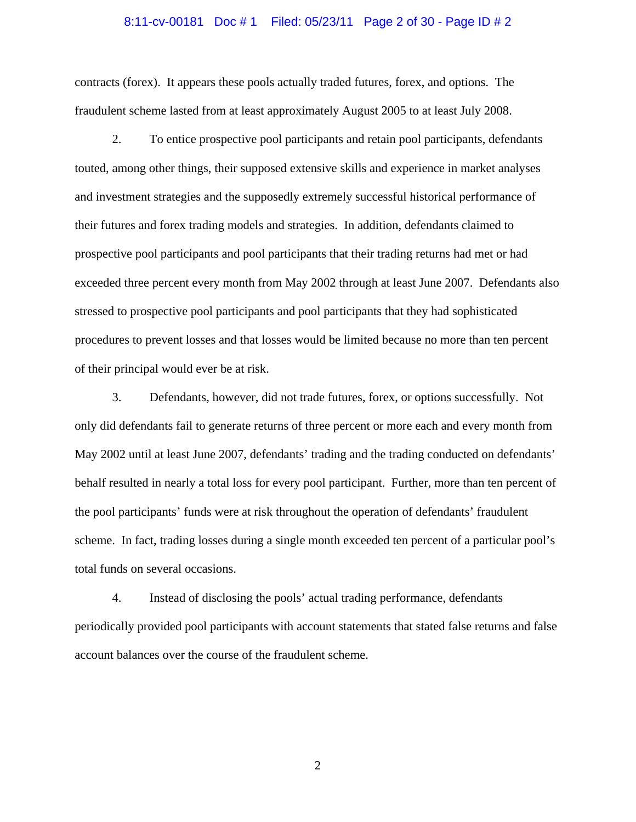#### 8:11-cv-00181 Doc # 1 Filed: 05/23/11 Page 2 of 30 - Page ID # 2

contracts (forex). It appears these pools actually traded futures, forex, and options. The fraudulent scheme lasted from at least approximately August 2005 to at least July 2008.

2. To entice prospective pool participants and retain pool participants, defendants touted, among other things, their supposed extensive skills and experience in market analyses and investment strategies and the supposedly extremely successful historical performance of their futures and forex trading models and strategies. In addition, defendants claimed to prospective pool participants and pool participants that their trading returns had met or had exceeded three percent every month from May 2002 through at least June 2007. Defendants also stressed to prospective pool participants and pool participants that they had sophisticated procedures to prevent losses and that losses would be limited because no more than ten percent of their principal would ever be at risk.

3. Defendants, however, did not trade futures, forex, or options successfully. Not only did defendants fail to generate returns of three percent or more each and every month from May 2002 until at least June 2007, defendants' trading and the trading conducted on defendants' behalf resulted in nearly a total loss for every pool participant. Further, more than ten percent of the pool participants' funds were at risk throughout the operation of defendants' fraudulent scheme. In fact, trading losses during a single month exceeded ten percent of a particular pool's total funds on several occasions.

4. Instead of disclosing the pools' actual trading performance, defendants periodically provided pool participants with account statements that stated false returns and false account balances over the course of the fraudulent scheme.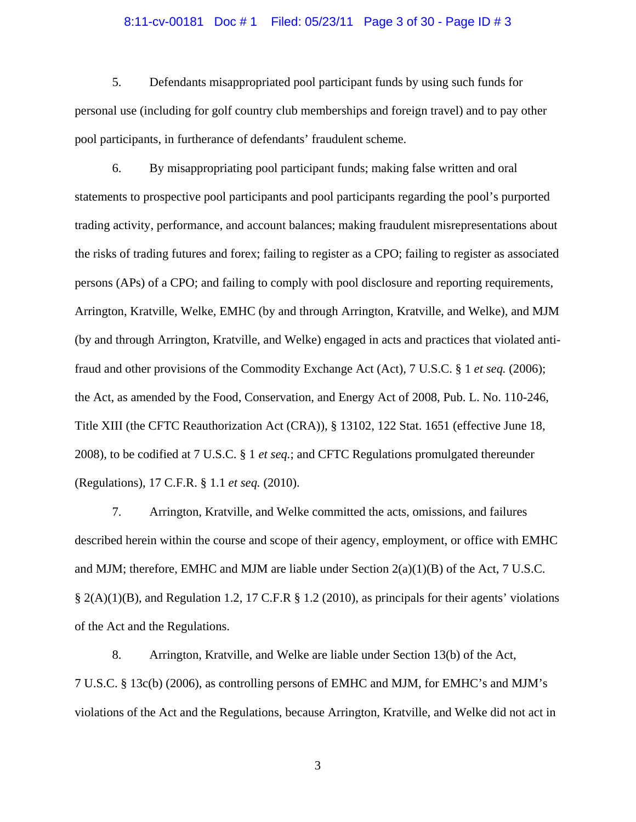#### 8:11-cv-00181 Doc # 1 Filed: 05/23/11 Page 3 of 30 - Page ID # 3

5. Defendants misappropriated pool participant funds by using such funds for personal use (including for golf country club memberships and foreign travel) and to pay other pool participants, in furtherance of defendants' fraudulent scheme.

6. By misappropriating pool participant funds; making false written and oral statements to prospective pool participants and pool participants regarding the pool's purported trading activity, performance, and account balances; making fraudulent misrepresentations about the risks of trading futures and forex; failing to register as a CPO; failing to register as associated persons (APs) of a CPO; and failing to comply with pool disclosure and reporting requirements, Arrington, Kratville, Welke, EMHC (by and through Arrington, Kratville, and Welke), and MJM (by and through Arrington, Kratville, and Welke) engaged in acts and practices that violated antifraud and other provisions of the Commodity Exchange Act (Act), 7 U.S.C. § 1 *et seq.* (2006); the Act, as amended by the Food, Conservation, and Energy Act of 2008, Pub. L. No. 110-246, Title XIII (the CFTC Reauthorization Act (CRA)), § 13102, 122 Stat. 1651 (effective June 18, 2008), to be codified at 7 U.S.C. § 1 *et seq.*; and CFTC Regulations promulgated thereunder (Regulations), 17 C.F.R. § 1.1 *et seq.* (2010).

7. Arrington, Kratville, and Welke committed the acts, omissions, and failures described herein within the course and scope of their agency, employment, or office with EMHC and MJM; therefore, EMHC and MJM are liable under Section 2(a)(1)(B) of the Act, 7 U.S.C. § 2(A)(1)(B), and Regulation 1.2, 17 C.F.R § 1.2 (2010), as principals for their agents' violations of the Act and the Regulations.

8. Arrington, Kratville, and Welke are liable under Section 13(b) of the Act, 7 U.S.C. § 13c(b) (2006), as controlling persons of EMHC and MJM, for EMHC's and MJM's violations of the Act and the Regulations, because Arrington, Kratville, and Welke did not act in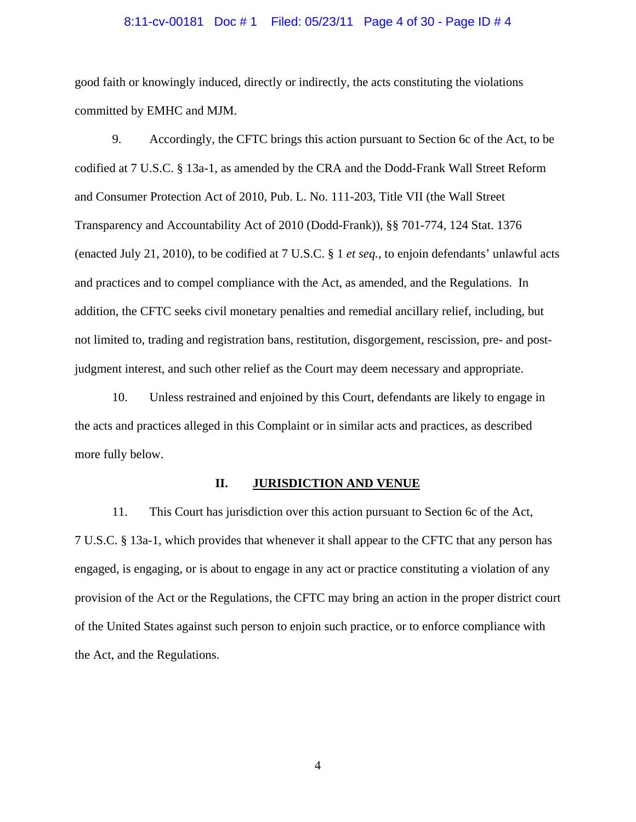#### 8:11-cv-00181 Doc # 1 Filed: 05/23/11 Page 4 of 30 - Page ID # 4

good faith or knowingly induced, directly or indirectly, the acts constituting the violations committed by EMHC and MJM.

9. Accordingly, the CFTC brings this action pursuant to Section 6c of the Act, to be codified at 7 U.S.C. § 13a-1, as amended by the CRA and the Dodd-Frank Wall Street Reform and Consumer Protection Act of 2010, Pub. L. No. 111-203, Title VII (the Wall Street Transparency and Accountability Act of 2010 (Dodd-Frank)), §§ 701-774, 124 Stat. 1376 (enacted July 21, 2010), to be codified at 7 U.S.C. § 1 *et seq.*, to enjoin defendants' unlawful acts and practices and to compel compliance with the Act, as amended, and the Regulations. In addition, the CFTC seeks civil monetary penalties and remedial ancillary relief, including, but not limited to, trading and registration bans, restitution, disgorgement, rescission, pre- and postjudgment interest, and such other relief as the Court may deem necessary and appropriate.

10. Unless restrained and enjoined by this Court, defendants are likely to engage in the acts and practices alleged in this Complaint or in similar acts and practices, as described more fully below.

## **II. JURISDICTION AND VENUE**

11. This Court has jurisdiction over this action pursuant to Section 6c of the Act, 7 U.S.C. § 13a-1, which provides that whenever it shall appear to the CFTC that any person has engaged, is engaging, or is about to engage in any act or practice constituting a violation of any provision of the Act or the Regulations, the CFTC may bring an action in the proper district court of the United States against such person to enjoin such practice, or to enforce compliance with the Act, and the Regulations.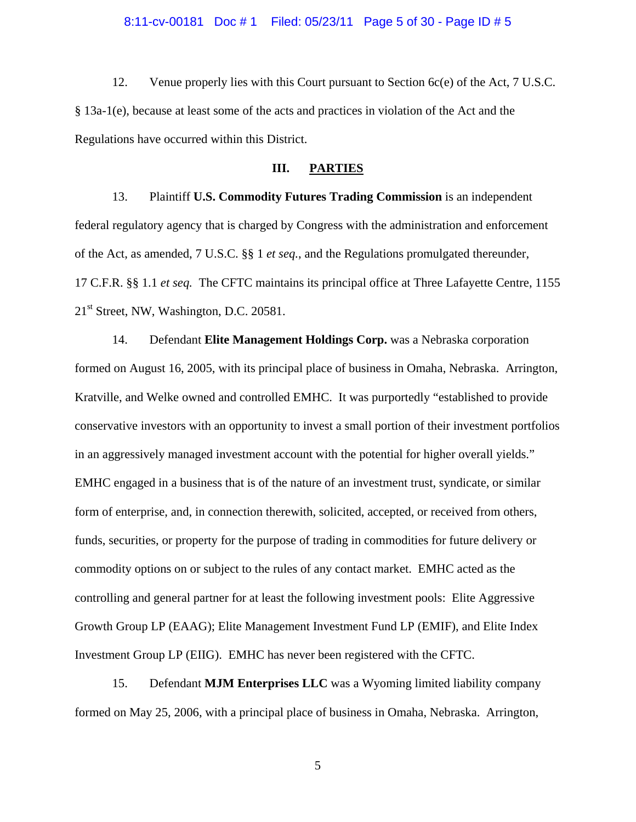#### 8:11-cv-00181 Doc # 1 Filed: 05/23/11 Page 5 of 30 - Page ID # 5

12. Venue properly lies with this Court pursuant to Section 6c(e) of the Act, 7 U.S.C. § 13a-1(e), because at least some of the acts and practices in violation of the Act and the Regulations have occurred within this District.

## **III. PARTIES**

13. Plaintiff **U.S. Commodity Futures Trading Commission** is an independent federal regulatory agency that is charged by Congress with the administration and enforcement of the Act, as amended, 7 U.S.C. §§ 1 *et seq.*, and the Regulations promulgated thereunder, 17 C.F.R. §§ 1.1 *et seq.* The CFTC maintains its principal office at Three Lafayette Centre, 1155 21st Street, NW, Washington, D.C. 20581.

14. Defendant **Elite Management Holdings Corp.** was a Nebraska corporation formed on August 16, 2005, with its principal place of business in Omaha, Nebraska. Arrington, Kratville, and Welke owned and controlled EMHC. It was purportedly "established to provide conservative investors with an opportunity to invest a small portion of their investment portfolios in an aggressively managed investment account with the potential for higher overall yields." EMHC engaged in a business that is of the nature of an investment trust, syndicate, or similar form of enterprise, and, in connection therewith, solicited, accepted, or received from others, funds, securities, or property for the purpose of trading in commodities for future delivery or commodity options on or subject to the rules of any contact market. EMHC acted as the controlling and general partner for at least the following investment pools: Elite Aggressive Growth Group LP (EAAG); Elite Management Investment Fund LP (EMIF), and Elite Index Investment Group LP (EIIG). EMHC has never been registered with the CFTC.

15. Defendant **MJM Enterprises LLC** was a Wyoming limited liability company formed on May 25, 2006, with a principal place of business in Omaha, Nebraska. Arrington,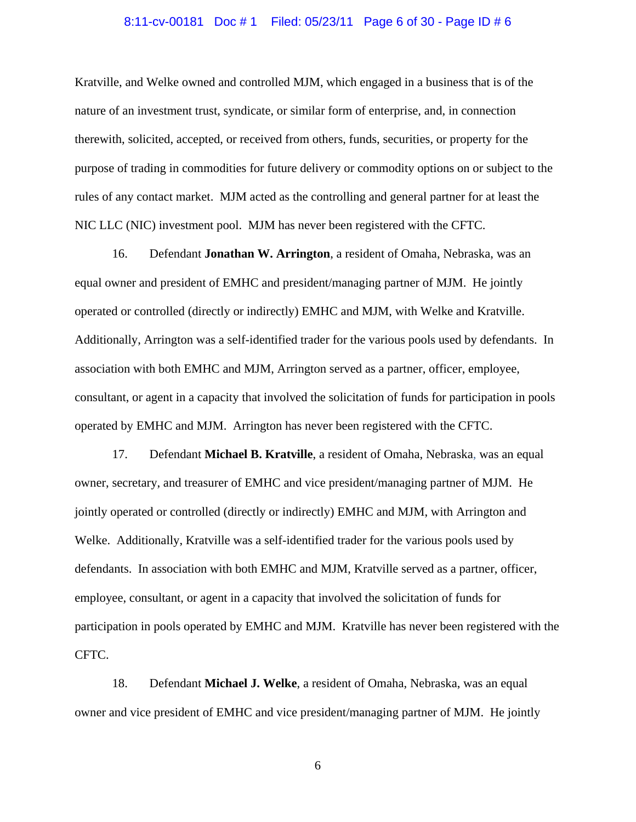#### 8:11-cv-00181 Doc # 1 Filed: 05/23/11 Page 6 of 30 - Page ID # 6

Kratville, and Welke owned and controlled MJM, which engaged in a business that is of the nature of an investment trust, syndicate, or similar form of enterprise, and, in connection therewith, solicited, accepted, or received from others, funds, securities, or property for the purpose of trading in commodities for future delivery or commodity options on or subject to the rules of any contact market. MJM acted as the controlling and general partner for at least the NIC LLC (NIC) investment pool. MJM has never been registered with the CFTC.

16. Defendant **Jonathan W. Arrington**, a resident of Omaha, Nebraska, was an equal owner and president of EMHC and president/managing partner of MJM. He jointly operated or controlled (directly or indirectly) EMHC and MJM, with Welke and Kratville. Additionally, Arrington was a self-identified trader for the various pools used by defendants. In association with both EMHC and MJM, Arrington served as a partner, officer, employee, consultant, or agent in a capacity that involved the solicitation of funds for participation in pools operated by EMHC and MJM. Arrington has never been registered with the CFTC.

17. Defendant **Michael B. Kratville**, a resident of Omaha, Nebraska, was an equal owner, secretary, and treasurer of EMHC and vice president/managing partner of MJM. He jointly operated or controlled (directly or indirectly) EMHC and MJM, with Arrington and Welke. Additionally, Kratville was a self-identified trader for the various pools used by defendants. In association with both EMHC and MJM, Kratville served as a partner, officer, employee, consultant, or agent in a capacity that involved the solicitation of funds for participation in pools operated by EMHC and MJM. Kratville has never been registered with the CFTC.

18. Defendant **Michael J. Welke**, a resident of Omaha, Nebraska, was an equal owner and vice president of EMHC and vice president/managing partner of MJM. He jointly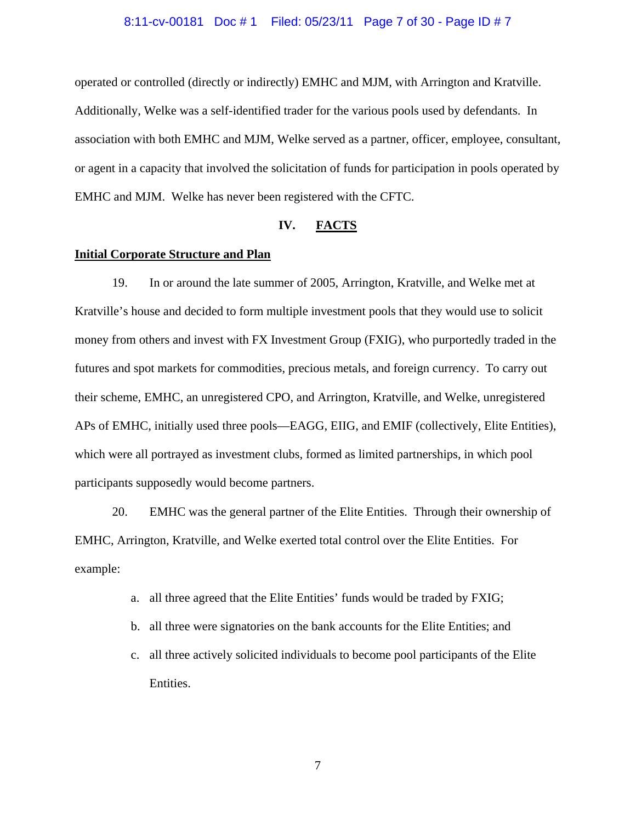#### 8:11-cv-00181 Doc # 1 Filed: 05/23/11 Page 7 of 30 - Page ID # 7

operated or controlled (directly or indirectly) EMHC and MJM, with Arrington and Kratville. Additionally, Welke was a self-identified trader for the various pools used by defendants. In association with both EMHC and MJM, Welke served as a partner, officer, employee, consultant, or agent in a capacity that involved the solicitation of funds for participation in pools operated by EMHC and MJM. Welke has never been registered with the CFTC.

## **IV. FACTS**

## **Initial Corporate Structure and Plan**

19. In or around the late summer of 2005, Arrington, Kratville, and Welke met at Kratville's house and decided to form multiple investment pools that they would use to solicit money from others and invest with FX Investment Group (FXIG), who purportedly traded in the futures and spot markets for commodities, precious metals, and foreign currency. To carry out their scheme, EMHC, an unregistered CPO, and Arrington, Kratville, and Welke, unregistered APs of EMHC, initially used three pools—EAGG, EIIG, and EMIF (collectively, Elite Entities), which were all portrayed as investment clubs, formed as limited partnerships, in which pool participants supposedly would become partners.

20. EMHC was the general partner of the Elite Entities. Through their ownership of EMHC, Arrington, Kratville, and Welke exerted total control over the Elite Entities. For example:

- a. all three agreed that the Elite Entities' funds would be traded by FXIG;
- b. all three were signatories on the bank accounts for the Elite Entities; and
- c. all three actively solicited individuals to become pool participants of the Elite Entities.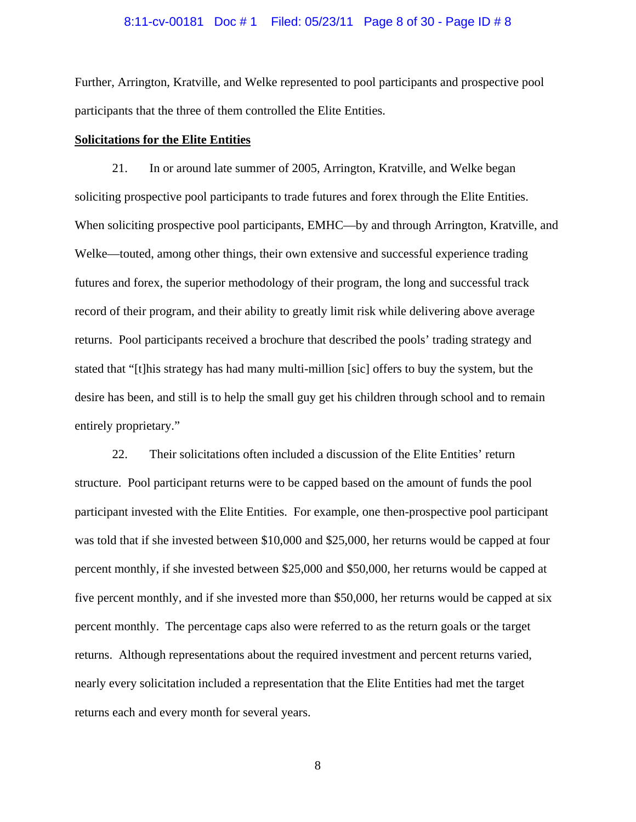#### 8:11-cv-00181 Doc # 1 Filed: 05/23/11 Page 8 of 30 - Page ID # 8

Further, Arrington, Kratville, and Welke represented to pool participants and prospective pool participants that the three of them controlled the Elite Entities.

#### **Solicitations for the Elite Entities**

21. In or around late summer of 2005, Arrington, Kratville, and Welke began soliciting prospective pool participants to trade futures and forex through the Elite Entities. When soliciting prospective pool participants, EMHC—by and through Arrington, Kratville, and Welke—touted, among other things, their own extensive and successful experience trading futures and forex, the superior methodology of their program, the long and successful track record of their program, and their ability to greatly limit risk while delivering above average returns. Pool participants received a brochure that described the pools' trading strategy and stated that "[t]his strategy has had many multi-million [sic] offers to buy the system, but the desire has been, and still is to help the small guy get his children through school and to remain entirely proprietary."

22. Their solicitations often included a discussion of the Elite Entities' return structure. Pool participant returns were to be capped based on the amount of funds the pool participant invested with the Elite Entities. For example, one then-prospective pool participant was told that if she invested between \$10,000 and \$25,000, her returns would be capped at four percent monthly, if she invested between \$25,000 and \$50,000, her returns would be capped at five percent monthly, and if she invested more than \$50,000, her returns would be capped at six percent monthly. The percentage caps also were referred to as the return goals or the target returns. Although representations about the required investment and percent returns varied, nearly every solicitation included a representation that the Elite Entities had met the target returns each and every month for several years.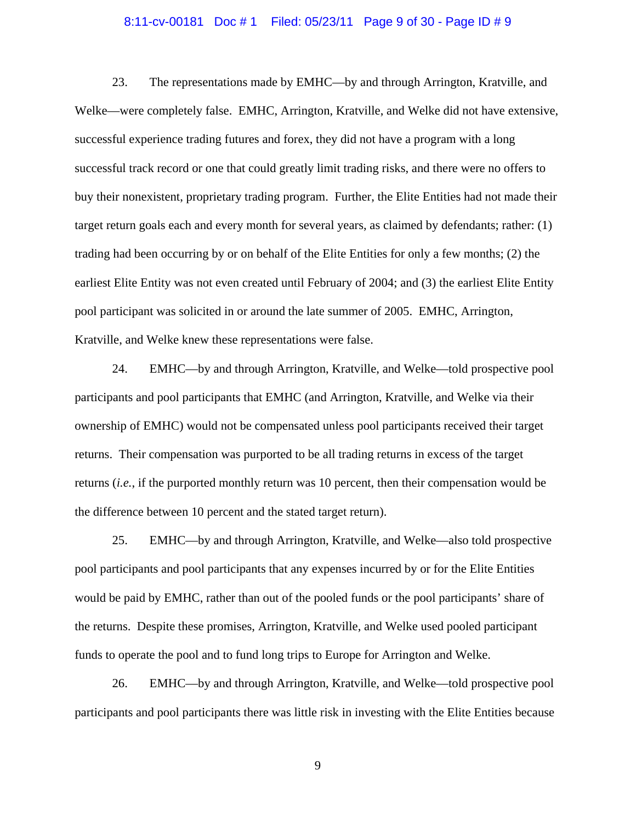#### 8:11-cv-00181 Doc # 1 Filed: 05/23/11 Page 9 of 30 - Page ID # 9

23. The representations made by EMHC—by and through Arrington, Kratville, and Welke—were completely false. EMHC, Arrington, Kratville, and Welke did not have extensive, successful experience trading futures and forex, they did not have a program with a long successful track record or one that could greatly limit trading risks, and there were no offers to buy their nonexistent, proprietary trading program. Further, the Elite Entities had not made their target return goals each and every month for several years, as claimed by defendants; rather: (1) trading had been occurring by or on behalf of the Elite Entities for only a few months; (2) the earliest Elite Entity was not even created until February of 2004; and (3) the earliest Elite Entity pool participant was solicited in or around the late summer of 2005. EMHC, Arrington, Kratville, and Welke knew these representations were false.

24. EMHC—by and through Arrington, Kratville, and Welke—told prospective pool participants and pool participants that EMHC (and Arrington, Kratville, and Welke via their ownership of EMHC) would not be compensated unless pool participants received their target returns. Their compensation was purported to be all trading returns in excess of the target returns (*i.e.*, if the purported monthly return was 10 percent, then their compensation would be the difference between 10 percent and the stated target return).

25. EMHC—by and through Arrington, Kratville, and Welke—also told prospective pool participants and pool participants that any expenses incurred by or for the Elite Entities would be paid by EMHC, rather than out of the pooled funds or the pool participants' share of the returns. Despite these promises, Arrington, Kratville, and Welke used pooled participant funds to operate the pool and to fund long trips to Europe for Arrington and Welke.

26. EMHC—by and through Arrington, Kratville, and Welke—told prospective pool participants and pool participants there was little risk in investing with the Elite Entities because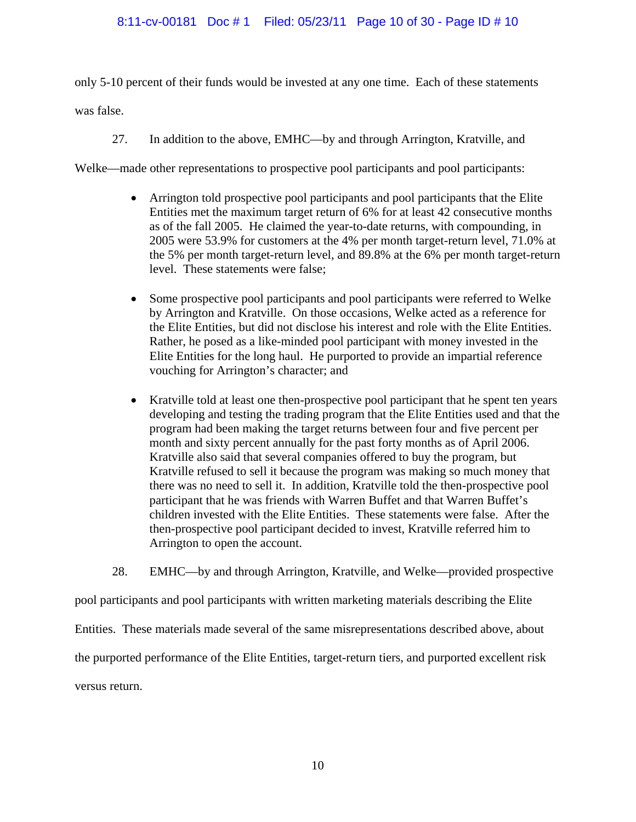## 8:11-cv-00181 Doc # 1 Filed: 05/23/11 Page 10 of 30 - Page ID # 10

only 5-10 percent of their funds would be invested at any one time. Each of these statements was false.

27. In addition to the above, EMHC—by and through Arrington, Kratville, and

Welke—made other representations to prospective pool participants and pool participants:

- Arrington told prospective pool participants and pool participants that the Elite Entities met the maximum target return of 6% for at least 42 consecutive months as of the fall 2005. He claimed the year-to-date returns, with compounding, in 2005 were 53.9% for customers at the 4% per month target-return level, 71.0% at the 5% per month target-return level, and 89.8% at the 6% per month target-return level. These statements were false;
- Some prospective pool participants and pool participants were referred to Welke by Arrington and Kratville. On those occasions, Welke acted as a reference for the Elite Entities, but did not disclose his interest and role with the Elite Entities. Rather, he posed as a like-minded pool participant with money invested in the Elite Entities for the long haul. He purported to provide an impartial reference vouching for Arrington's character; and
- Kratville told at least one then-prospective pool participant that he spent ten years developing and testing the trading program that the Elite Entities used and that the program had been making the target returns between four and five percent per month and sixty percent annually for the past forty months as of April 2006. Kratville also said that several companies offered to buy the program, but Kratville refused to sell it because the program was making so much money that there was no need to sell it. In addition, Kratville told the then-prospective pool participant that he was friends with Warren Buffet and that Warren Buffet's children invested with the Elite Entities. These statements were false. After the then-prospective pool participant decided to invest, Kratville referred him to Arrington to open the account.

28. EMHC—by and through Arrington, Kratville, and Welke—provided prospective

pool participants and pool participants with written marketing materials describing the Elite

Entities. These materials made several of the same misrepresentations described above, about

the purported performance of the Elite Entities, target-return tiers, and purported excellent risk

versus return.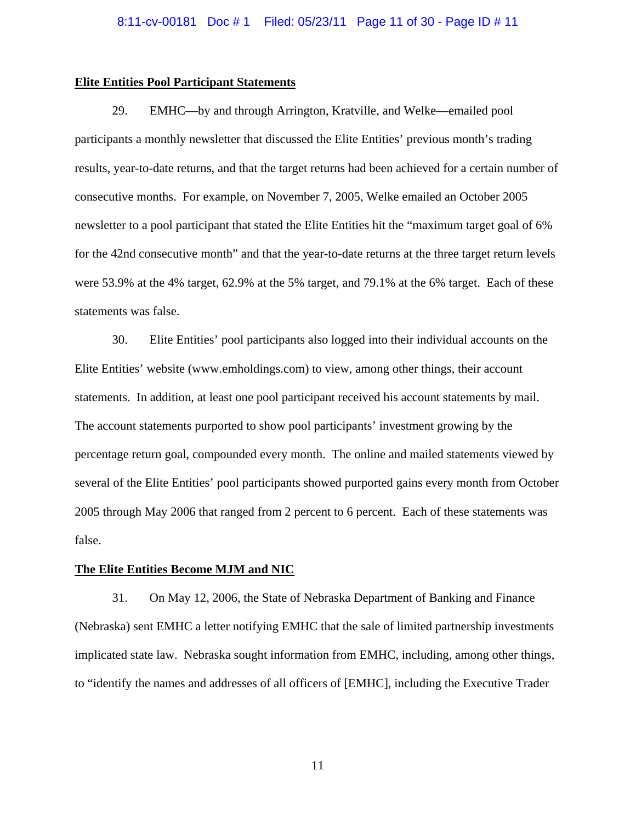## **Elite Entities Pool Participant Statements**

29. EMHC—by and through Arrington, Kratville, and Welke—emailed pool participants a monthly newsletter that discussed the Elite Entities' previous month's trading results, year-to-date returns, and that the target returns had been achieved for a certain number of consecutive months. For example, on November 7, 2005, Welke emailed an October 2005 newsletter to a pool participant that stated the Elite Entities hit the "maximum target goal of 6% for the 42nd consecutive month" and that the year-to-date returns at the three target return levels were 53.9% at the 4% target, 62.9% at the 5% target, and 79.1% at the 6% target. Each of these statements was false.

30. Elite Entities' pool participants also logged into their individual accounts on the Elite Entities' website (www.emholdings.com) to view, among other things, their account statements. In addition, at least one pool participant received his account statements by mail. The account statements purported to show pool participants' investment growing by the percentage return goal, compounded every month. The online and mailed statements viewed by several of the Elite Entities' pool participants showed purported gains every month from October 2005 through May 2006 that ranged from 2 percent to 6 percent. Each of these statements was false.

#### **The Elite Entities Become MJM and NIC**

31. On May 12, 2006, the State of Nebraska Department of Banking and Finance (Nebraska) sent EMHC a letter notifying EMHC that the sale of limited partnership investments implicated state law. Nebraska sought information from EMHC, including, among other things, to "identify the names and addresses of all officers of [EMHC], including the Executive Trader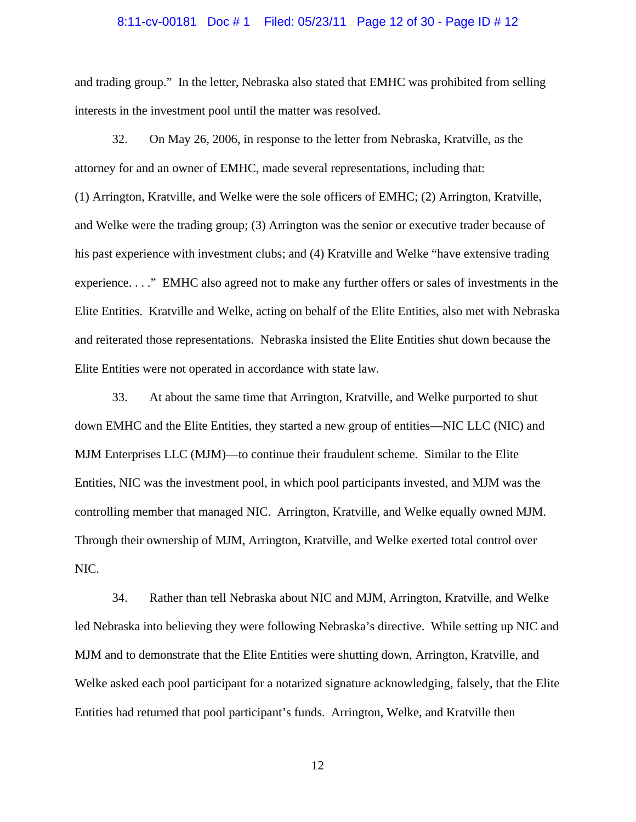## 8:11-cv-00181 Doc # 1 Filed: 05/23/11 Page 12 of 30 - Page ID # 12

and trading group." In the letter, Nebraska also stated that EMHC was prohibited from selling interests in the investment pool until the matter was resolved.

32. On May 26, 2006, in response to the letter from Nebraska, Kratville, as the attorney for and an owner of EMHC, made several representations, including that: (1) Arrington, Kratville, and Welke were the sole officers of EMHC; (2) Arrington, Kratville, and Welke were the trading group; (3) Arrington was the senior or executive trader because of his past experience with investment clubs; and (4) Kratville and Welke "have extensive trading experience. . . ." EMHC also agreed not to make any further offers or sales of investments in the Elite Entities. Kratville and Welke, acting on behalf of the Elite Entities, also met with Nebraska and reiterated those representations. Nebraska insisted the Elite Entities shut down because the Elite Entities were not operated in accordance with state law.

33. At about the same time that Arrington, Kratville, and Welke purported to shut down EMHC and the Elite Entities, they started a new group of entities—NIC LLC (NIC) and MJM Enterprises LLC (MJM)—to continue their fraudulent scheme. Similar to the Elite Entities, NIC was the investment pool, in which pool participants invested, and MJM was the controlling member that managed NIC. Arrington, Kratville, and Welke equally owned MJM. Through their ownership of MJM, Arrington, Kratville, and Welke exerted total control over NIC.

34. Rather than tell Nebraska about NIC and MJM, Arrington, Kratville, and Welke led Nebraska into believing they were following Nebraska's directive. While setting up NIC and MJM and to demonstrate that the Elite Entities were shutting down, Arrington, Kratville, and Welke asked each pool participant for a notarized signature acknowledging, falsely, that the Elite Entities had returned that pool participant's funds. Arrington, Welke, and Kratville then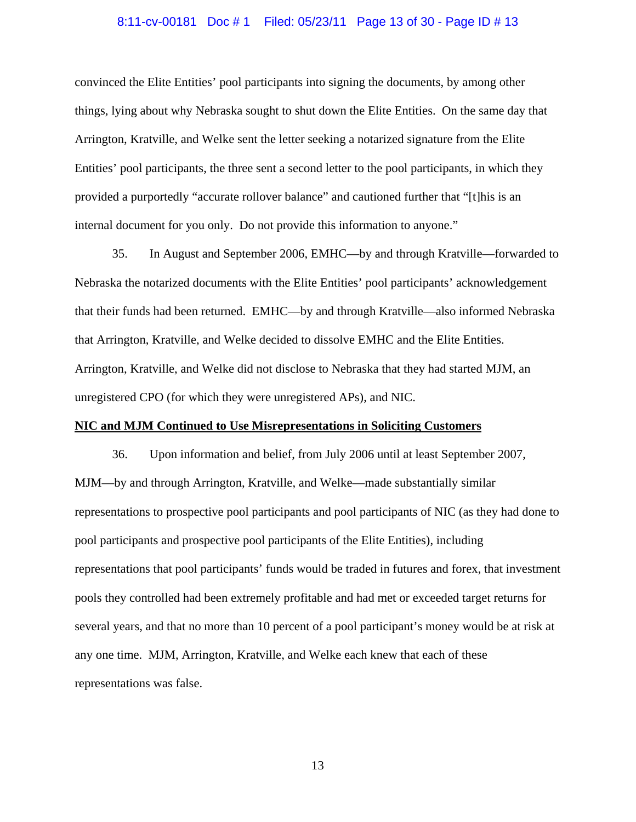## 8:11-cv-00181 Doc # 1 Filed: 05/23/11 Page 13 of 30 - Page ID # 13

convinced the Elite Entities' pool participants into signing the documents, by among other things, lying about why Nebraska sought to shut down the Elite Entities. On the same day that Arrington, Kratville, and Welke sent the letter seeking a notarized signature from the Elite Entities' pool participants, the three sent a second letter to the pool participants, in which they provided a purportedly "accurate rollover balance" and cautioned further that "[t]his is an internal document for you only. Do not provide this information to anyone."

35. In August and September 2006, EMHC—by and through Kratville—forwarded to Nebraska the notarized documents with the Elite Entities' pool participants' acknowledgement that their funds had been returned. EMHC—by and through Kratville—also informed Nebraska that Arrington, Kratville, and Welke decided to dissolve EMHC and the Elite Entities. Arrington, Kratville, and Welke did not disclose to Nebraska that they had started MJM, an unregistered CPO (for which they were unregistered APs), and NIC.

## **NIC and MJM Continued to Use Misrepresentations in Soliciting Customers**

36. Upon information and belief, from July 2006 until at least September 2007, MJM—by and through Arrington, Kratville, and Welke—made substantially similar representations to prospective pool participants and pool participants of NIC (as they had done to pool participants and prospective pool participants of the Elite Entities), including representations that pool participants' funds would be traded in futures and forex, that investment pools they controlled had been extremely profitable and had met or exceeded target returns for several years, and that no more than 10 percent of a pool participant's money would be at risk at any one time. MJM, Arrington, Kratville, and Welke each knew that each of these representations was false.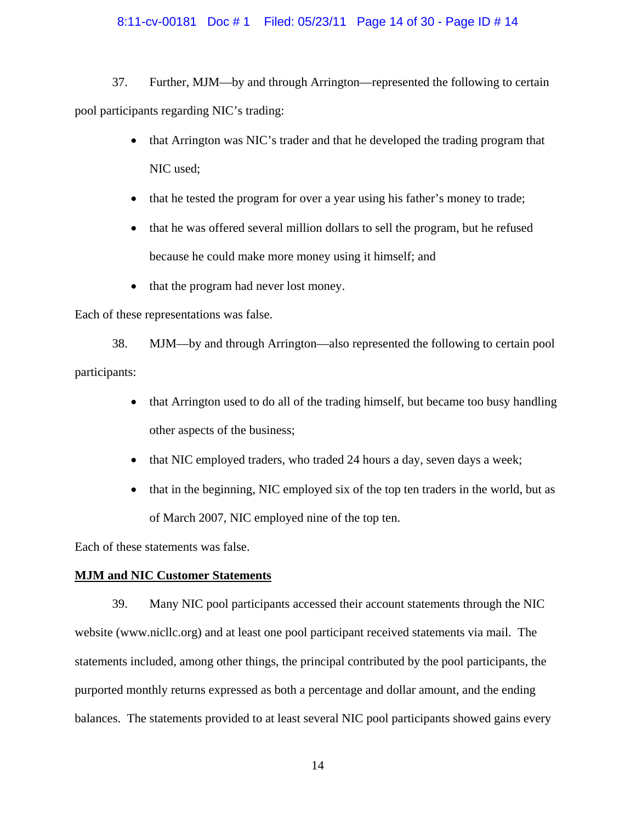## 8:11-cv-00181 Doc # 1 Filed: 05/23/11 Page 14 of 30 - Page ID # 14

37. Further, MJM—by and through Arrington—represented the following to certain pool participants regarding NIC's trading:

- that Arrington was NIC's trader and that he developed the trading program that NIC used;
- that he tested the program for over a year using his father's money to trade;
- that he was offered several million dollars to sell the program, but he refused because he could make more money using it himself; and
- that the program had never lost money.

Each of these representations was false.

38. MJM—by and through Arrington—also represented the following to certain pool participants:

- that Arrington used to do all of the trading himself, but became too busy handling other aspects of the business;
- that NIC employed traders, who traded 24 hours a day, seven days a week;
- that in the beginning, NIC employed six of the top ten traders in the world, but as of March 2007, NIC employed nine of the top ten.

Each of these statements was false.

## **MJM and NIC Customer Statements**

39. Many NIC pool participants accessed their account statements through the NIC website (www.nicllc.org) and at least one pool participant received statements via mail. The statements included, among other things, the principal contributed by the pool participants, the purported monthly returns expressed as both a percentage and dollar amount, and the ending balances. The statements provided to at least several NIC pool participants showed gains every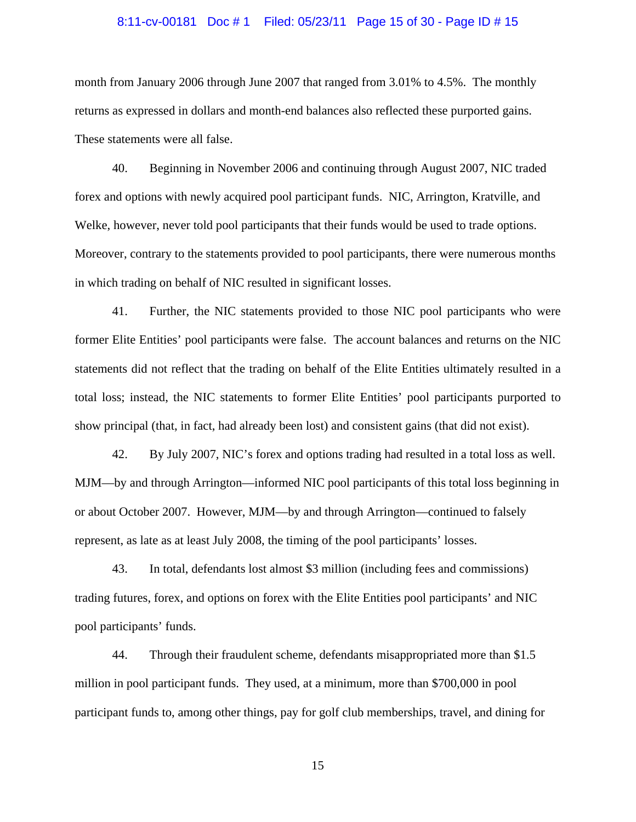## 8:11-cv-00181 Doc # 1 Filed: 05/23/11 Page 15 of 30 - Page ID # 15

month from January 2006 through June 2007 that ranged from 3.01% to 4.5%. The monthly returns as expressed in dollars and month-end balances also reflected these purported gains. These statements were all false.

40. Beginning in November 2006 and continuing through August 2007, NIC traded forex and options with newly acquired pool participant funds. NIC, Arrington, Kratville, and Welke, however, never told pool participants that their funds would be used to trade options. Moreover, contrary to the statements provided to pool participants, there were numerous months in which trading on behalf of NIC resulted in significant losses.

41. Further, the NIC statements provided to those NIC pool participants who were former Elite Entities' pool participants were false. The account balances and returns on the NIC statements did not reflect that the trading on behalf of the Elite Entities ultimately resulted in a total loss; instead, the NIC statements to former Elite Entities' pool participants purported to show principal (that, in fact, had already been lost) and consistent gains (that did not exist).

42. By July 2007, NIC's forex and options trading had resulted in a total loss as well. MJM—by and through Arrington—informed NIC pool participants of this total loss beginning in or about October 2007. However, MJM—by and through Arrington—continued to falsely represent, as late as at least July 2008, the timing of the pool participants' losses.

43. In total, defendants lost almost \$3 million (including fees and commissions) trading futures, forex, and options on forex with the Elite Entities pool participants' and NIC pool participants' funds.

44. Through their fraudulent scheme, defendants misappropriated more than \$1.5 million in pool participant funds. They used, at a minimum, more than \$700,000 in pool participant funds to, among other things, pay for golf club memberships, travel, and dining for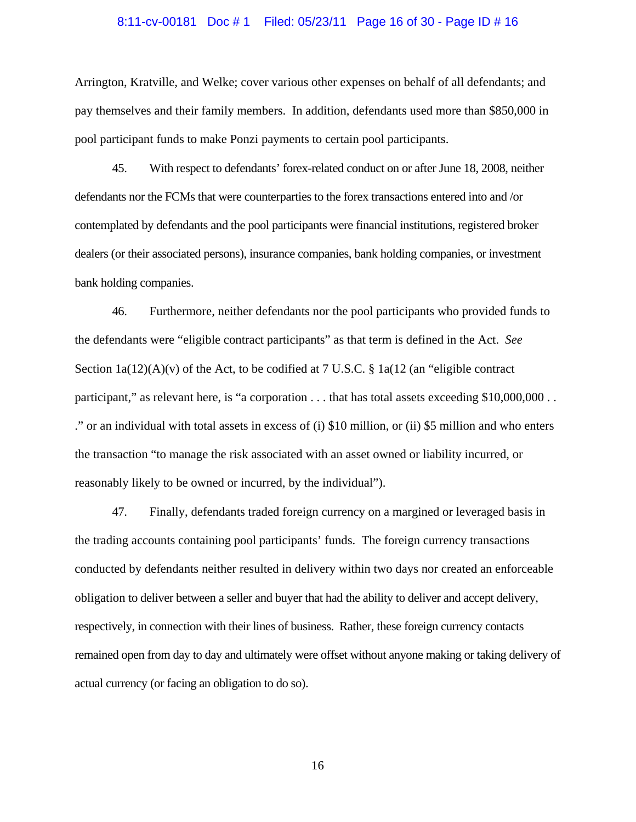## 8:11-cv-00181 Doc # 1 Filed: 05/23/11 Page 16 of 30 - Page ID # 16

Arrington, Kratville, and Welke; cover various other expenses on behalf of all defendants; and pay themselves and their family members. In addition, defendants used more than \$850,000 in pool participant funds to make Ponzi payments to certain pool participants.

45. With respect to defendants' forex-related conduct on or after June 18, 2008, neither defendants nor the FCMs that were counterparties to the forex transactions entered into and /or contemplated by defendants and the pool participants were financial institutions, registered broker dealers (or their associated persons), insurance companies, bank holding companies, or investment bank holding companies.

46. Furthermore, neither defendants nor the pool participants who provided funds to the defendants were "eligible contract participants" as that term is defined in the Act. *See* Section  $1a(12)(A)(v)$  of the Act, to be codified at 7 U.S.C. §  $1a(12)$  (an "eligible contract" participant," as relevant here, is "a corporation . . . that has total assets exceeding \$10,000,000 . . ." or an individual with total assets in excess of (i) \$10 million, or (ii) \$5 million and who enters the transaction "to manage the risk associated with an asset owned or liability incurred, or reasonably likely to be owned or incurred, by the individual").

47. Finally, defendants traded foreign currency on a margined or leveraged basis in the trading accounts containing pool participants' funds. The foreign currency transactions conducted by defendants neither resulted in delivery within two days nor created an enforceable obligation to deliver between a seller and buyer that had the ability to deliver and accept delivery, respectively, in connection with their lines of business. Rather, these foreign currency contacts remained open from day to day and ultimately were offset without anyone making or taking delivery of actual currency (or facing an obligation to do so).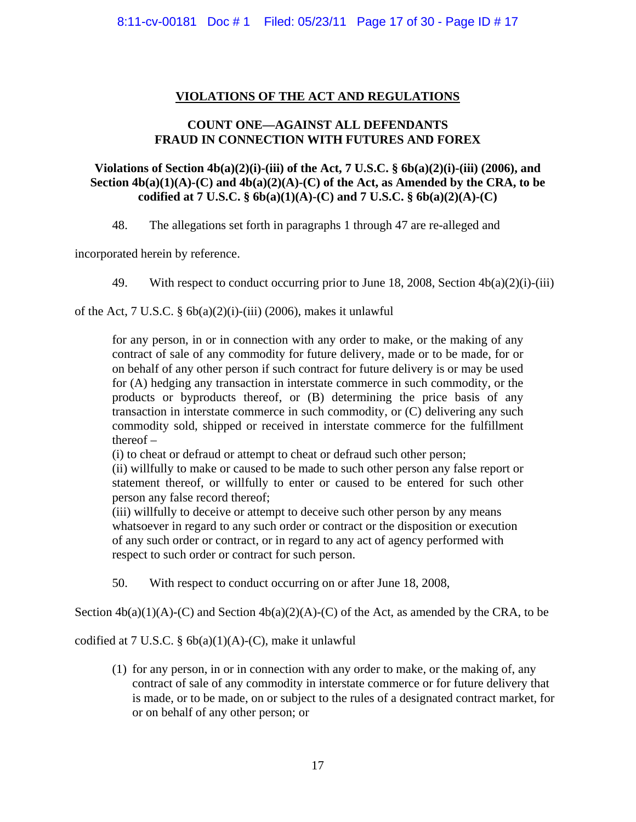## **VIOLATIONS OF THE ACT AND REGULATIONS**

## **COUNT ONE—AGAINST ALL DEFENDANTS FRAUD IN CONNECTION WITH FUTURES AND FOREX**

## **Violations of Section 4b(a)(2)(i)-(iii) of the Act, 7 U.S.C. § 6b(a)(2)(i)-(iii) (2006), and**  Section  $4b(a)(1)(A)-(C)$  and  $4b(a)(2)(A)-(C)$  of the Act, as Amended by the CRA, to be **codified at 7 U.S.C. § 6b(a)(1)(A)-(C) and 7 U.S.C. § 6b(a)(2)(A)-(C)**

48. The allegations set forth in paragraphs 1 through 47 are re-alleged and

incorporated herein by reference.

49. With respect to conduct occurring prior to June 18, 2008, Section 4b(a)(2)(i)-(iii)

of the Act,  $7 \text{ U.S.C. }$   $\frac{6}{9}$  6b(a)(2)(i)-(iii) (2006), makes it unlawful

for any person, in or in connection with any order to make, or the making of any contract of sale of any commodity for future delivery, made or to be made, for or on behalf of any other person if such contract for future delivery is or may be used for (A) hedging any transaction in interstate commerce in such commodity, or the products or byproducts thereof, or (B) determining the price basis of any transaction in interstate commerce in such commodity, or (C) delivering any such commodity sold, shipped or received in interstate commerce for the fulfillment thereof –

(i) to cheat or defraud or attempt to cheat or defraud such other person;

(ii) willfully to make or caused to be made to such other person any false report or statement thereof, or willfully to enter or caused to be entered for such other person any false record thereof;

(iii) willfully to deceive or attempt to deceive such other person by any means whatsoever in regard to any such order or contract or the disposition or execution of any such order or contract, or in regard to any act of agency performed with respect to such order or contract for such person.

50. With respect to conduct occurring on or after June 18, 2008,

Section  $4b(a)(1)(A)-(C)$  and Section  $4b(a)(2)(A)-(C)$  of the Act, as amended by the CRA, to be

codified at 7 U.S.C. §  $6b(a)(1)(A)-(C)$ , make it unlawful

(1) for any person, in or in connection with any order to make, or the making of, any contract of sale of any commodity in interstate commerce or for future delivery that is made, or to be made, on or subject to the rules of a designated contract market, for or on behalf of any other person; or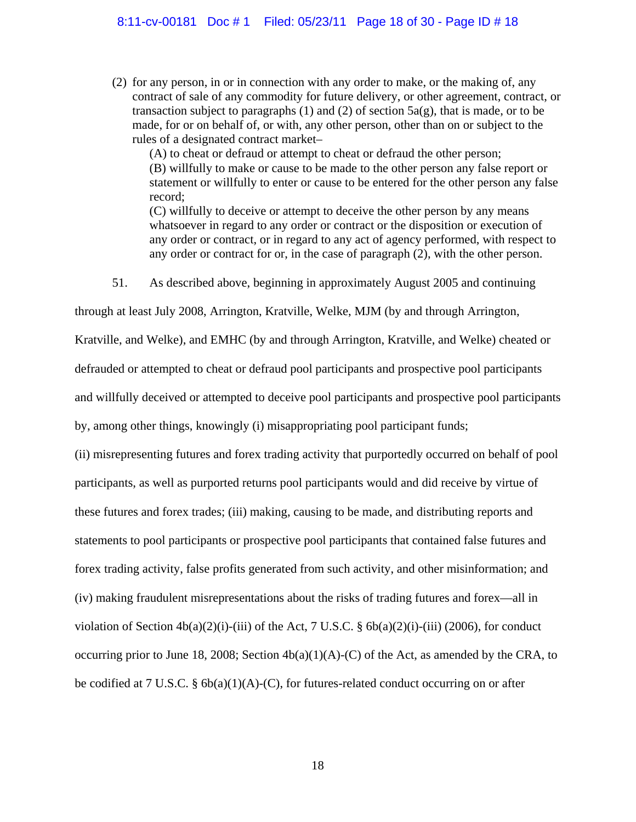(2) for any person, in or in connection with any order to make, or the making of, any contract of sale of any commodity for future delivery, or other agreement, contract, or transaction subject to paragraphs (1) and (2) of section  $5a(g)$ , that is made, or to be made, for or on behalf of, or with, any other person, other than on or subject to the rules of a designated contract market–

(A) to cheat or defraud or attempt to cheat or defraud the other person; (B) willfully to make or cause to be made to the other person any false report or statement or willfully to enter or cause to be entered for the other person any false record;

(C) willfully to deceive or attempt to deceive the other person by any means whatsoever in regard to any order or contract or the disposition or execution of any order or contract, or in regard to any act of agency performed, with respect to any order or contract for or, in the case of paragraph (2), with the other person.

51. As described above, beginning in approximately August 2005 and continuing

through at least July 2008, Arrington, Kratville, Welke, MJM (by and through Arrington,

Kratville, and Welke), and EMHC (by and through Arrington, Kratville, and Welke) cheated or

defrauded or attempted to cheat or defraud pool participants and prospective pool participants

and willfully deceived or attempted to deceive pool participants and prospective pool participants

by, among other things, knowingly (i) misappropriating pool participant funds;

(ii) misrepresenting futures and forex trading activity that purportedly occurred on behalf of pool participants, as well as purported returns pool participants would and did receive by virtue of these futures and forex trades; (iii) making, causing to be made, and distributing reports and statements to pool participants or prospective pool participants that contained false futures and forex trading activity, false profits generated from such activity, and other misinformation; and (iv) making fraudulent misrepresentations about the risks of trading futures and forex—all in violation of Section  $4b(a)(2)(i)$ -(iii) of the Act, 7 U.S.C. §  $6b(a)(2)(i)$ -(iii) (2006), for conduct occurring prior to June 18, 2008; Section  $4b(a)(1)(A)-(C)$  of the Act, as amended by the CRA, to be codified at 7 U.S.C. § 6b(a)(1)(A)-(C), for futures-related conduct occurring on or after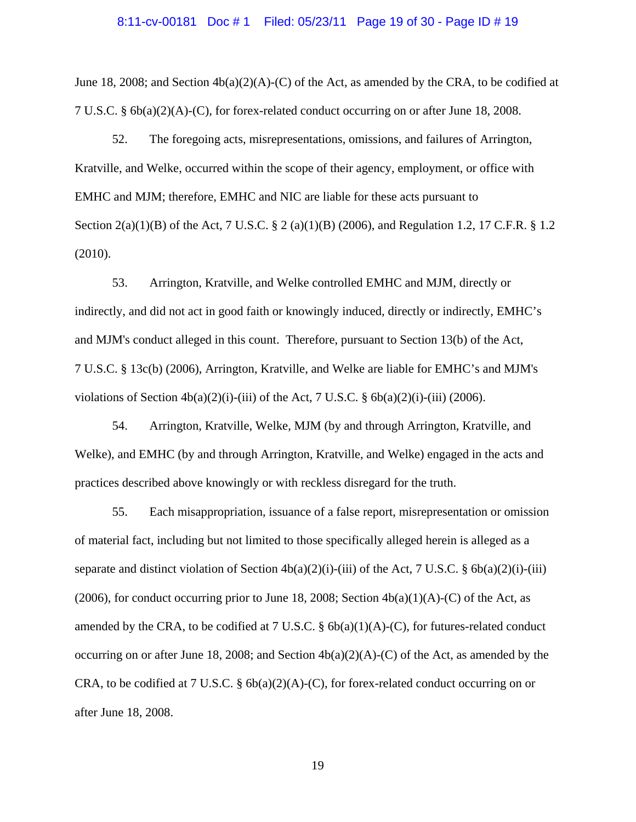#### 8:11-cv-00181 Doc # 1 Filed: 05/23/11 Page 19 of 30 - Page ID # 19

June 18, 2008; and Section  $4b(a)(2)(A)-(C)$  of the Act, as amended by the CRA, to be codified at 7 U.S.C. § 6b(a)(2)(A)-(C), for forex-related conduct occurring on or after June 18, 2008.

52. The foregoing acts, misrepresentations, omissions, and failures of Arrington, Kratville, and Welke, occurred within the scope of their agency, employment, or office with EMHC and MJM; therefore, EMHC and NIC are liable for these acts pursuant to Section 2(a)(1)(B) of the Act, 7 U.S.C. § 2 (a)(1)(B) (2006), and Regulation 1.2, 17 C.F.R. § 1.2 (2010).

53. Arrington, Kratville, and Welke controlled EMHC and MJM, directly or indirectly, and did not act in good faith or knowingly induced, directly or indirectly, EMHC's and MJM's conduct alleged in this count. Therefore, pursuant to Section 13(b) of the Act, 7 U.S.C. § 13c(b) (2006), Arrington, Kratville, and Welke are liable for EMHC's and MJM's violations of Section  $4b(a)(2)(i)$ -(iii) of the Act, 7 U.S.C. §  $6b(a)(2)(i)$ -(iii) (2006).

54. Arrington, Kratville, Welke, MJM (by and through Arrington, Kratville, and Welke), and EMHC (by and through Arrington, Kratville, and Welke) engaged in the acts and practices described above knowingly or with reckless disregard for the truth.

55. Each misappropriation, issuance of a false report, misrepresentation or omission of material fact, including but not limited to those specifically alleged herein is alleged as a separate and distinct violation of Section  $4b(a)(2)(i)$ -(iii) of the Act, 7 U.S.C. §  $6b(a)(2)(i)$ -(iii) (2006), for conduct occurring prior to June 18, 2008; Section  $4b(a)(1)(A)-(C)$  of the Act, as amended by the CRA, to be codified at 7 U.S.C.  $\S$  6b(a)(1)(A)-(C), for futures-related conduct occurring on or after June 18, 2008; and Section  $4b(a)(2)(A)-(C)$  of the Act, as amended by the CRA, to be codified at 7 U.S.C.  $\S$  6b(a)(2)(A)-(C), for forex-related conduct occurring on or after June 18, 2008.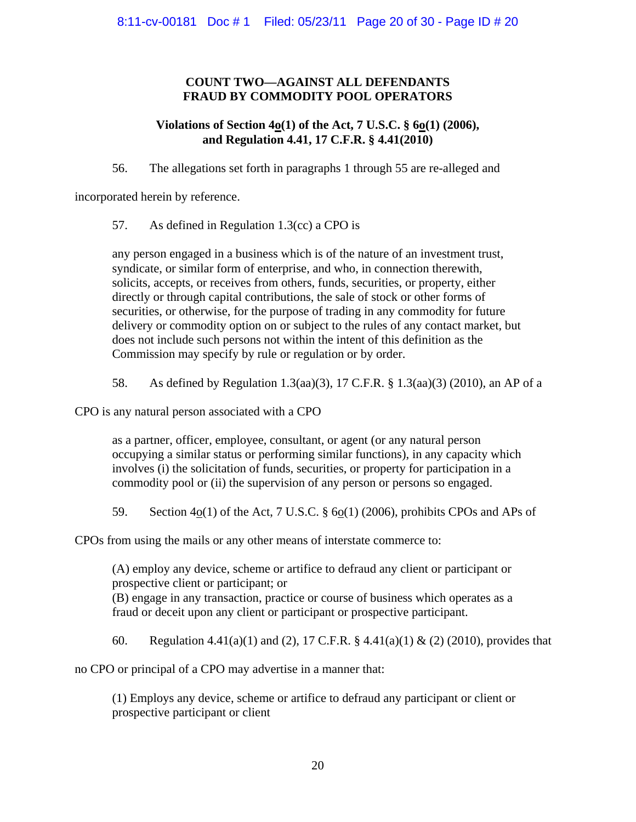## **COUNT TWO—AGAINST ALL DEFENDANTS FRAUD BY COMMODITY POOL OPERATORS**

## **Violations of Section 4<sup>o</sup>(1) of the Act, 7 U.S.C. § 6<sup>o</sup>(1) (2006), and Regulation 4.41, 17 C.F.R. § 4.41(2010)**

56. The allegations set forth in paragraphs 1 through 55 are re-alleged and

incorporated herein by reference.

57. As defined in Regulation 1.3(cc) a CPO is

any person engaged in a business which is of the nature of an investment trust, syndicate, or similar form of enterprise, and who, in connection therewith, solicits, accepts, or receives from others, funds, securities, or property, either directly or through capital contributions, the sale of stock or other forms of securities, or otherwise, for the purpose of trading in any commodity for future delivery or commodity option on or subject to the rules of any contact market, but does not include such persons not within the intent of this definition as the Commission may specify by rule or regulation or by order.

58. As defined by Regulation 1.3(aa)(3), 17 C.F.R. § 1.3(aa)(3) (2010), an AP of a

CPO is any natural person associated with a CPO

as a partner, officer, employee, consultant, or agent (or any natural person occupying a similar status or performing similar functions), in any capacity which involves (i) the solicitation of funds, securities, or property for participation in a commodity pool or (ii) the supervision of any person or persons so engaged.

59. Section  $4o(1)$  of the Act, 7 U.S.C. §  $6o(1)$  (2006), prohibits CPOs and APs of

CPOs from using the mails or any other means of interstate commerce to:

(A) employ any device, scheme or artifice to defraud any client or participant or prospective client or participant; or (B) engage in any transaction, practice or course of business which operates as a fraud or deceit upon any client or participant or prospective participant.

60. Regulation 4.41(a)(1) and (2), 17 C.F.R. § 4.41(a)(1) & (2) (2010), provides that

no CPO or principal of a CPO may advertise in a manner that:

(1) Employs any device, scheme or artifice to defraud any participant or client or prospective participant or client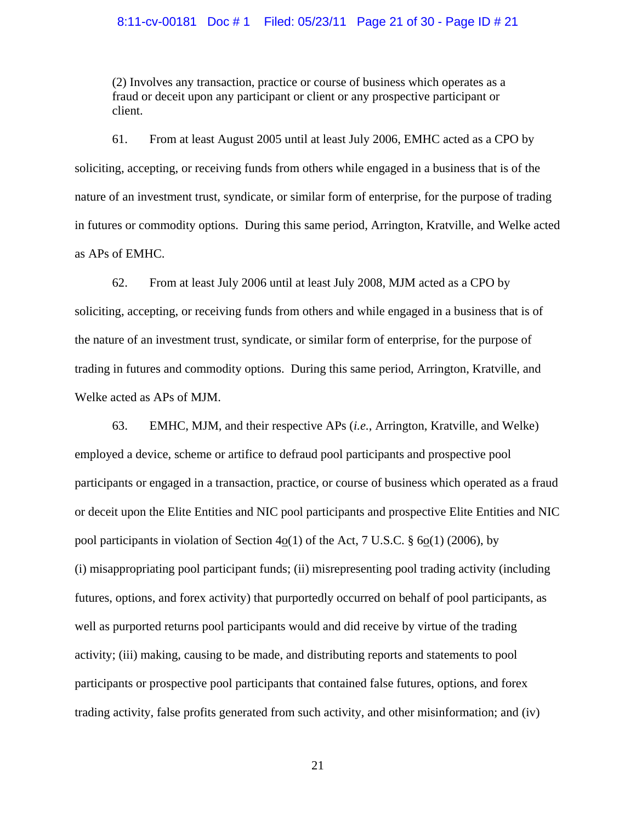## 8:11-cv-00181 Doc # 1 Filed: 05/23/11 Page 21 of 30 - Page ID # 21

(2) Involves any transaction, practice or course of business which operates as a fraud or deceit upon any participant or client or any prospective participant or client.

61. From at least August 2005 until at least July 2006, EMHC acted as a CPO by soliciting, accepting, or receiving funds from others while engaged in a business that is of the nature of an investment trust, syndicate, or similar form of enterprise, for the purpose of trading in futures or commodity options. During this same period, Arrington, Kratville, and Welke acted as APs of EMHC.

62. From at least July 2006 until at least July 2008, MJM acted as a CPO by soliciting, accepting, or receiving funds from others and while engaged in a business that is of the nature of an investment trust, syndicate, or similar form of enterprise, for the purpose of trading in futures and commodity options. During this same period, Arrington, Kratville, and Welke acted as APs of MJM.

63. EMHC, MJM, and their respective APs (*i.e.*, Arrington, Kratville, and Welke) employed a device, scheme or artifice to defraud pool participants and prospective pool participants or engaged in a transaction, practice, or course of business which operated as a fraud or deceit upon the Elite Entities and NIC pool participants and prospective Elite Entities and NIC pool participants in violation of Section  $4o(1)$  of the Act, 7 U.S.C. § 6o(1) (2006), by (i) misappropriating pool participant funds; (ii) misrepresenting pool trading activity (including futures, options, and forex activity) that purportedly occurred on behalf of pool participants, as well as purported returns pool participants would and did receive by virtue of the trading activity; (iii) making, causing to be made, and distributing reports and statements to pool participants or prospective pool participants that contained false futures, options, and forex trading activity, false profits generated from such activity, and other misinformation; and (iv)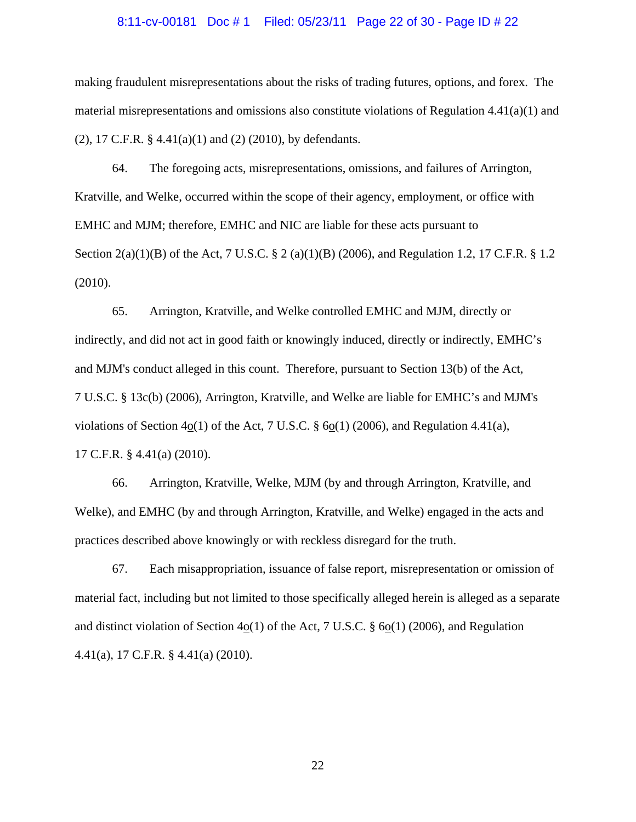#### 8:11-cv-00181 Doc # 1 Filed: 05/23/11 Page 22 of 30 - Page ID # 22

making fraudulent misrepresentations about the risks of trading futures, options, and forex. The material misrepresentations and omissions also constitute violations of Regulation  $4.41(a)(1)$  and (2), 17 C.F.R. § 4.41(a)(1) and (2) (2010), by defendants.

64. The foregoing acts, misrepresentations, omissions, and failures of Arrington, Kratville, and Welke, occurred within the scope of their agency, employment, or office with EMHC and MJM; therefore, EMHC and NIC are liable for these acts pursuant to Section 2(a)(1)(B) of the Act, 7 U.S.C. § 2 (a)(1)(B) (2006), and Regulation 1.2, 17 C.F.R. § 1.2 (2010).

65. Arrington, Kratville, and Welke controlled EMHC and MJM, directly or indirectly, and did not act in good faith or knowingly induced, directly or indirectly, EMHC's and MJM's conduct alleged in this count. Therefore, pursuant to Section 13(b) of the Act, 7 U.S.C. § 13c(b) (2006), Arrington, Kratville, and Welke are liable for EMHC's and MJM's violations of Section 4o(1) of the Act, 7 U.S.C.  $\S$  6o(1) (2006), and Regulation 4.41(a), 17 C.F.R. § 4.41(a) (2010).

66. Arrington, Kratville, Welke, MJM (by and through Arrington, Kratville, and Welke), and EMHC (by and through Arrington, Kratville, and Welke) engaged in the acts and practices described above knowingly or with reckless disregard for the truth.

67. Each misappropriation, issuance of false report, misrepresentation or omission of material fact, including but not limited to those specifically alleged herein is alleged as a separate and distinct violation of Section 4o(1) of the Act, 7 U.S.C. § 6o(1) (2006), and Regulation 4.41(a), 17 C.F.R. § 4.41(a) (2010).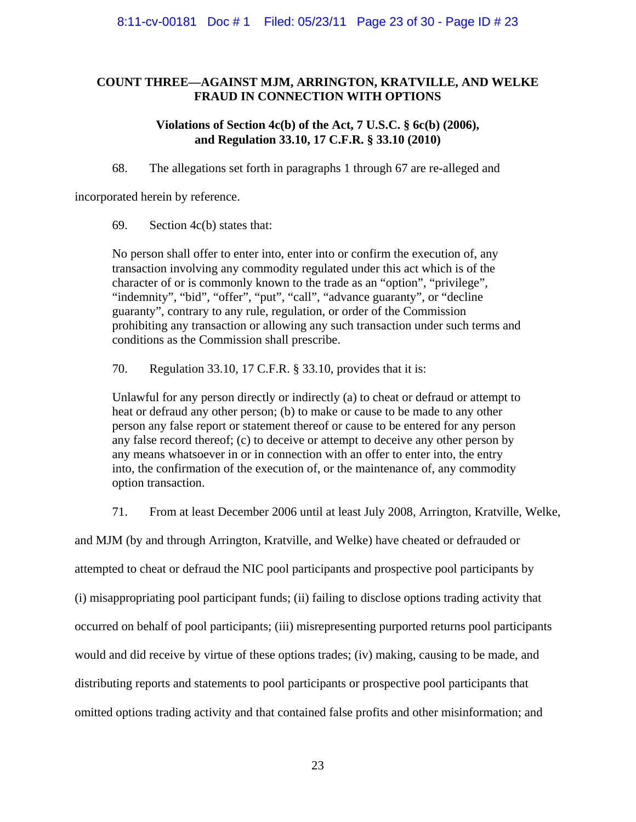## **COUNT THREE—AGAINST MJM, ARRINGTON, KRATVILLE, AND WELKE FRAUD IN CONNECTION WITH OPTIONS**

## **Violations of Section 4c(b) of the Act, 7 U.S.C. § 6c(b) (2006), and Regulation 33.10, 17 C.F.R. § 33.10 (2010)**

68. The allegations set forth in paragraphs 1 through 67 are re-alleged and

incorporated herein by reference.

69. Section 4c(b) states that:

No person shall offer to enter into, enter into or confirm the execution of, any transaction involving any commodity regulated under this act which is of the character of or is commonly known to the trade as an "option", "privilege", "indemnity", "bid", "offer", "put", "call", "advance guaranty", or "decline guaranty", contrary to any rule, regulation, or order of the Commission prohibiting any transaction or allowing any such transaction under such terms and conditions as the Commission shall prescribe.

70. Regulation 33.10, 17 C.F.R. § 33.10, provides that it is:

Unlawful for any person directly or indirectly (a) to cheat or defraud or attempt to heat or defraud any other person; (b) to make or cause to be made to any other person any false report or statement thereof or cause to be entered for any person any false record thereof; (c) to deceive or attempt to deceive any other person by any means whatsoever in or in connection with an offer to enter into, the entry into, the confirmation of the execution of, or the maintenance of, any commodity option transaction.

71. From at least December 2006 until at least July 2008, Arrington, Kratville, Welke,

and MJM (by and through Arrington, Kratville, and Welke) have cheated or defrauded or attempted to cheat or defraud the NIC pool participants and prospective pool participants by (i) misappropriating pool participant funds; (ii) failing to disclose options trading activity that occurred on behalf of pool participants; (iii) misrepresenting purported returns pool participants would and did receive by virtue of these options trades; (iv) making, causing to be made, and distributing reports and statements to pool participants or prospective pool participants that omitted options trading activity and that contained false profits and other misinformation; and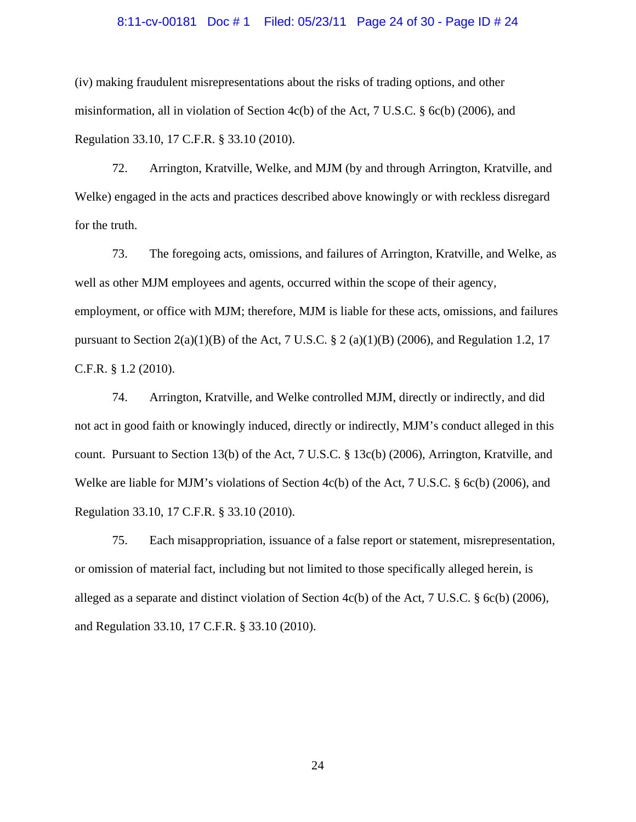## 8:11-cv-00181 Doc # 1 Filed: 05/23/11 Page 24 of 30 - Page ID # 24

(iv) making fraudulent misrepresentations about the risks of trading options, and other misinformation, all in violation of Section 4c(b) of the Act, 7 U.S.C.  $\S$  6c(b) (2006), and Regulation 33.10, 17 C.F.R. § 33.10 (2010).

72. Arrington, Kratville, Welke, and MJM (by and through Arrington, Kratville, and Welke) engaged in the acts and practices described above knowingly or with reckless disregard for the truth.

73. The foregoing acts, omissions, and failures of Arrington, Kratville, and Welke, as well as other MJM employees and agents, occurred within the scope of their agency, employment, or office with MJM; therefore, MJM is liable for these acts, omissions, and failures pursuant to Section  $2(a)(1)(B)$  of the Act, 7 U.S.C. § 2 (a)(1)(B) (2006), and Regulation 1.2, 17 C.F.R. § 1.2 (2010).

74. Arrington, Kratville, and Welke controlled MJM, directly or indirectly, and did not act in good faith or knowingly induced, directly or indirectly, MJM's conduct alleged in this count. Pursuant to Section 13(b) of the Act, 7 U.S.C. § 13c(b) (2006), Arrington, Kratville, and Welke are liable for MJM's violations of Section 4c(b) of the Act, 7 U.S.C. § 6c(b) (2006), and Regulation 33.10, 17 C.F.R. § 33.10 (2010).

75. Each misappropriation, issuance of a false report or statement, misrepresentation, or omission of material fact, including but not limited to those specifically alleged herein, is alleged as a separate and distinct violation of Section 4c(b) of the Act, 7 U.S.C. § 6c(b) (2006), and Regulation 33.10, 17 C.F.R. § 33.10 (2010).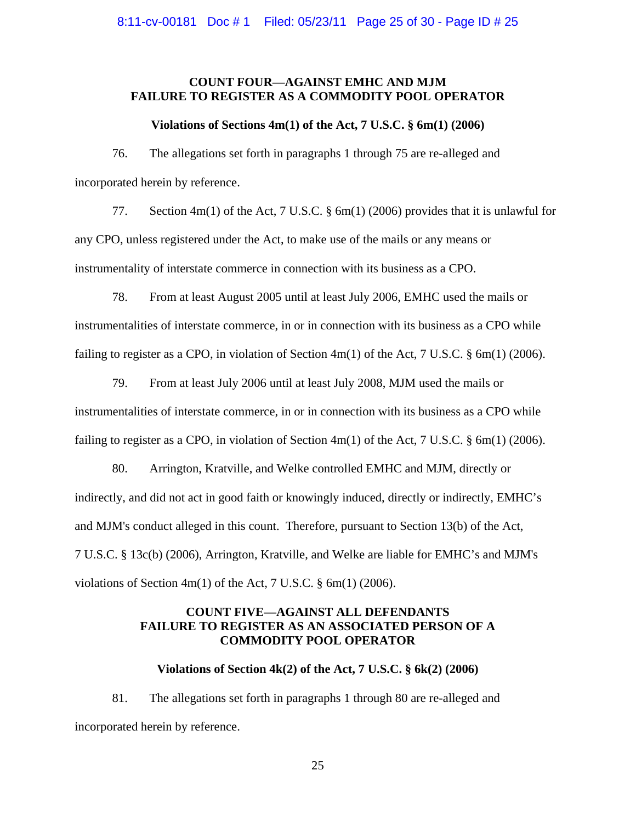## **COUNT FOUR—AGAINST EMHC AND MJM FAILURE TO REGISTER AS A COMMODITY POOL OPERATOR**

## **Violations of Sections 4m(1) of the Act, 7 U.S.C. § 6m(1) (2006)**

76. The allegations set forth in paragraphs 1 through 75 are re-alleged and incorporated herein by reference.

77. Section 4m(1) of the Act, 7 U.S.C. § 6m(1) (2006) provides that it is unlawful for any CPO, unless registered under the Act, to make use of the mails or any means or instrumentality of interstate commerce in connection with its business as a CPO.

78. From at least August 2005 until at least July 2006, EMHC used the mails or instrumentalities of interstate commerce, in or in connection with its business as a CPO while failing to register as a CPO, in violation of Section 4m(1) of the Act, 7 U.S.C. § 6m(1) (2006).

79. From at least July 2006 until at least July 2008, MJM used the mails or instrumentalities of interstate commerce, in or in connection with its business as a CPO while failing to register as a CPO, in violation of Section 4m(1) of the Act, 7 U.S.C. § 6m(1) (2006).

80. Arrington, Kratville, and Welke controlled EMHC and MJM, directly or indirectly, and did not act in good faith or knowingly induced, directly or indirectly, EMHC's and MJM's conduct alleged in this count. Therefore, pursuant to Section 13(b) of the Act, 7 U.S.C. § 13c(b) (2006), Arrington, Kratville, and Welke are liable for EMHC's and MJM's violations of Section  $4m(1)$  of the Act, 7 U.S.C.  $\S$  6m(1) (2006).

## **COUNT FIVE—AGAINST ALL DEFENDANTS FAILURE TO REGISTER AS AN ASSOCIATED PERSON OF A COMMODITY POOL OPERATOR**

## **Violations of Section 4k(2) of the Act, 7 U.S.C. § 6k(2) (2006)**

81. The allegations set forth in paragraphs 1 through 80 are re-alleged and incorporated herein by reference.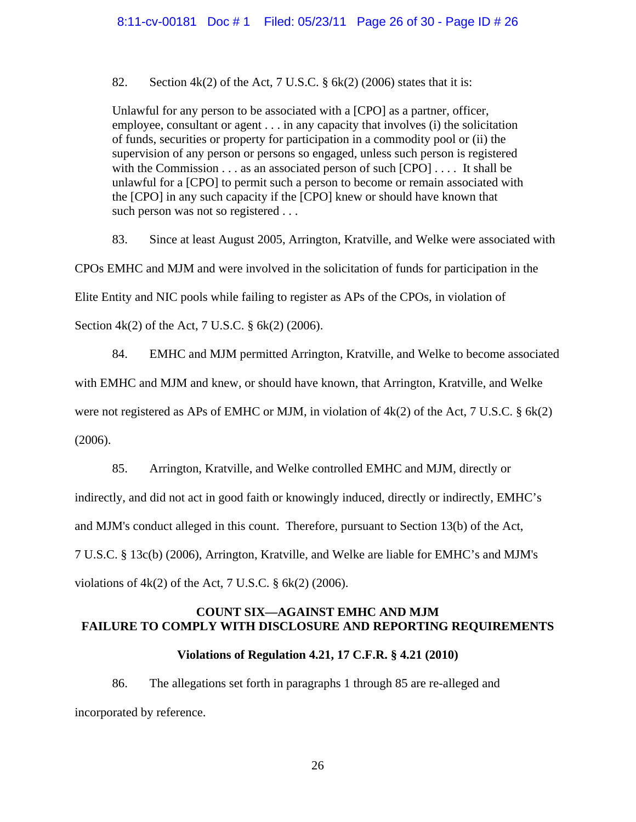82. Section  $4k(2)$  of the Act, 7 U.S.C. § 6 $k(2)$  (2006) states that it is:

Unlawful for any person to be associated with a [CPO] as a partner, officer, employee, consultant or agent . . . in any capacity that involves (i) the solicitation of funds, securities or property for participation in a commodity pool or (ii) the supervision of any person or persons so engaged, unless such person is registered with the Commission . . . as an associated person of such [CPO] . . . . It shall be unlawful for a [CPO] to permit such a person to become or remain associated with the [CPO] in any such capacity if the [CPO] knew or should have known that such person was not so registered . . .

83. Since at least August 2005, Arrington, Kratville, and Welke were associated with

CPOs EMHC and MJM and were involved in the solicitation of funds for participation in the

Elite Entity and NIC pools while failing to register as APs of the CPOs, in violation of

Section 4k(2) of the Act, 7 U.S.C. § 6k(2) (2006).

84. EMHC and MJM permitted Arrington, Kratville, and Welke to become associated

with EMHC and MJM and knew, or should have known, that Arrington, Kratville, and Welke

were not registered as APs of EMHC or MJM, in violation of  $4k(2)$  of the Act, 7 U.S.C. § 6k(2)

(2006).

85. Arrington, Kratville, and Welke controlled EMHC and MJM, directly or

indirectly, and did not act in good faith or knowingly induced, directly or indirectly, EMHC's

and MJM's conduct alleged in this count. Therefore, pursuant to Section 13(b) of the Act,

7 U.S.C. § 13c(b) (2006), Arrington, Kratville, and Welke are liable for EMHC's and MJM's

violations of  $4k(2)$  of the Act, 7 U.S.C.  $\S$  6k(2) (2006).

## **COUNT SIX—AGAINST EMHC AND MJM FAILURE TO COMPLY WITH DISCLOSURE AND REPORTING REQUIREMENTS**

## **Violations of Regulation 4.21, 17 C.F.R. § 4.21 (2010)**

86. The allegations set forth in paragraphs 1 through 85 are re-alleged and incorporated by reference.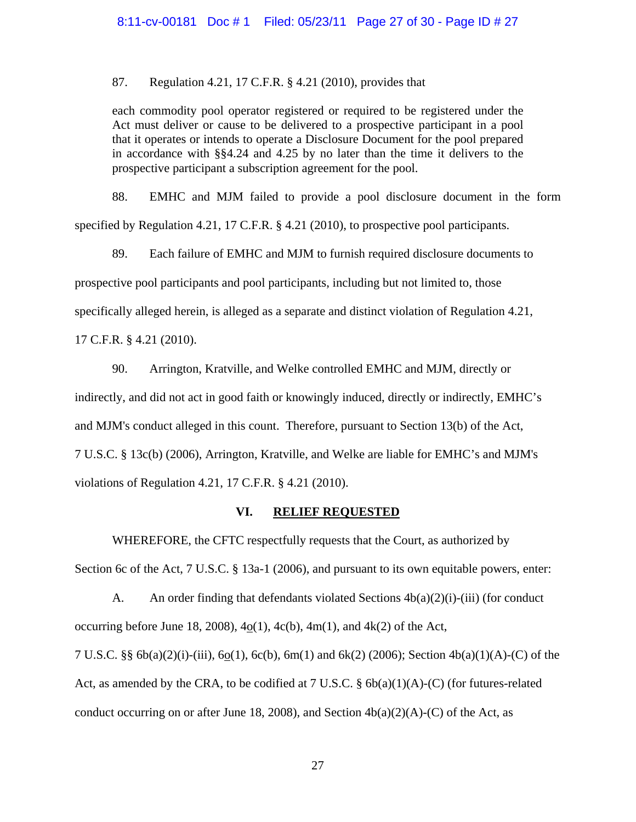87. Regulation 4.21, 17 C.F.R. § 4.21 (2010), provides that

each commodity pool operator registered or required to be registered under the Act must deliver or cause to be delivered to a prospective participant in a pool that it operates or intends to operate a Disclosure Document for the pool prepared in accordance with §§4.24 and 4.25 by no later than the time it delivers to the prospective participant a subscription agreement for the pool.

88. EMHC and MJM failed to provide a pool disclosure document in the form specified by Regulation 4.21, 17 C.F.R. § 4.21 (2010), to prospective pool participants.

89. Each failure of EMHC and MJM to furnish required disclosure documents to prospective pool participants and pool participants, including but not limited to, those specifically alleged herein, is alleged as a separate and distinct violation of Regulation 4.21,

17 C.F.R. § 4.21 (2010).

90. Arrington, Kratville, and Welke controlled EMHC and MJM, directly or indirectly, and did not act in good faith or knowingly induced, directly or indirectly, EMHC's and MJM's conduct alleged in this count. Therefore, pursuant to Section 13(b) of the Act, 7 U.S.C. § 13c(b) (2006), Arrington, Kratville, and Welke are liable for EMHC's and MJM's violations of Regulation 4.21, 17 C.F.R. § 4.21 (2010).

## **VI. RELIEF REQUESTED**

 WHEREFORE, the CFTC respectfully requests that the Court, as authorized by Section 6c of the Act, 7 U.S.C. § 13a-1 (2006), and pursuant to its own equitable powers, enter:

A. An order finding that defendants violated Sections  $4b(a)(2)(i)$ -(iii) (for conduct occurring before June 18, 2008),  $4o(1)$ ,  $4c(b)$ ,  $4m(1)$ , and  $4k(2)$  of the Act, 7 U.S.C. §§ 6b(a)(2)(i)-(iii), 6o(1), 6c(b), 6m(1) and 6k(2) (2006); Section 4b(a)(1)(A)-(C) of the Act, as amended by the CRA, to be codified at 7 U.S.C.  $\S$  6b(a)(1)(A)-(C) (for futures-related conduct occurring on or after June 18, 2008), and Section  $4b(a)(2)(A)-(C)$  of the Act, as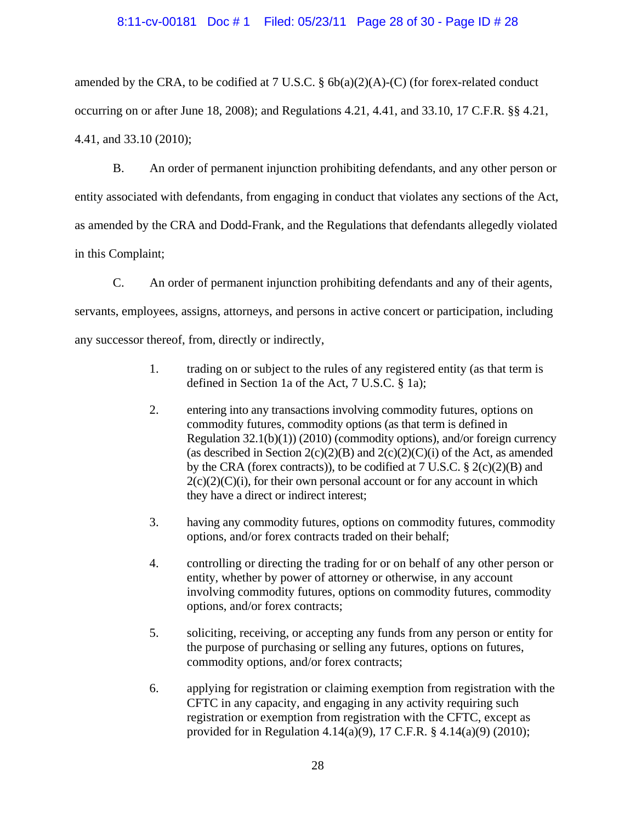## 8:11-cv-00181 Doc # 1 Filed: 05/23/11 Page 28 of 30 - Page ID # 28

amended by the CRA, to be codified at 7 U.S.C.  $\S$  6b(a)(2)(A)-(C) (for forex-related conduct occurring on or after June 18, 2008); and Regulations 4.21, 4.41, and 33.10, 17 C.F.R. §§ 4.21, 4.41, and 33.10 (2010);

B. An order of permanent injunction prohibiting defendants, and any other person or entity associated with defendants, from engaging in conduct that violates any sections of the Act, as amended by the CRA and Dodd-Frank, and the Regulations that defendants allegedly violated in this Complaint;

C. An order of permanent injunction prohibiting defendants and any of their agents, servants, employees, assigns, attorneys, and persons in active concert or participation, including any successor thereof, from, directly or indirectly,

- 1.trading on or subject to the rules of any registered entity (as that term is defined in Section 1a of the Act, 7 U.S.C. § 1a);
- 2. entering into any transactions involving commodity futures, options on commodity futures, commodity options (as that term is defined in Regulation  $32.1(b)(1)$  (2010) (commodity options), and/or foreign currency (as described in Section  $2(c)(2)(B)$  and  $2(c)(2)(C)(i)$  of the Act, as amended by the CRA (forex contracts)), to be codified at  $7 \text{ U.S.C. } § 2(c)(2)(B)$  and  $2(c)(2)(C)(i)$ , for their own personal account or for any account in which they have a direct or indirect interest;
- 3. having any commodity futures, options on commodity futures, commodity options, and/or forex contracts traded on their behalf;
- 4. controlling or directing the trading for or on behalf of any other person or entity, whether by power of attorney or otherwise, in any account involving commodity futures, options on commodity futures, commodity options, and/or forex contracts;
- 5. soliciting, receiving, or accepting any funds from any person or entity for the purpose of purchasing or selling any futures, options on futures, commodity options, and/or forex contracts;
- 6. applying for registration or claiming exemption from registration with the CFTC in any capacity, and engaging in any activity requiring such registration or exemption from registration with the CFTC, except as provided for in Regulation 4.14(a)(9), 17 C.F.R. § 4.14(a)(9) (2010);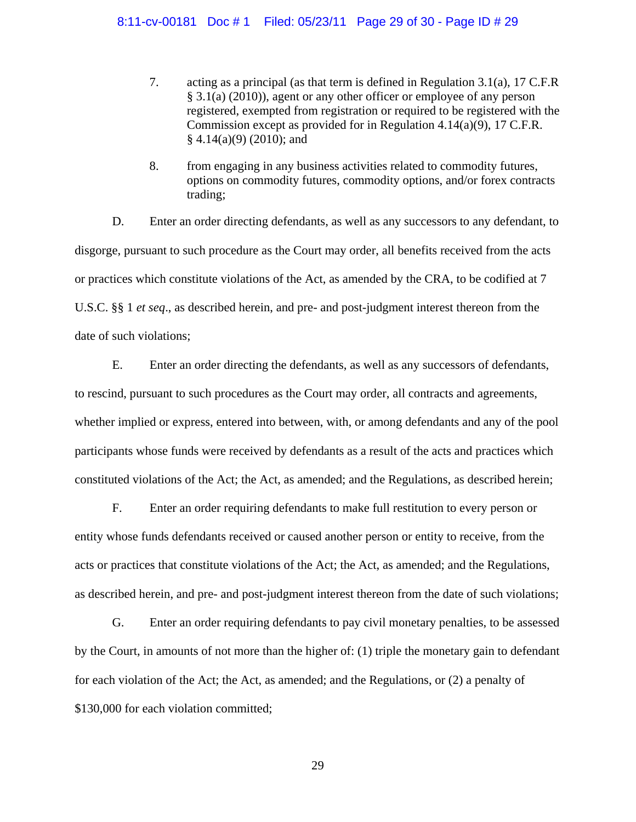## 8:11-cv-00181 Doc # 1 Filed: 05/23/11 Page 29 of 30 - Page ID # 29

- 7. acting as a principal (as that term is defined in Regulation 3.1(a), 17 C.F.R § 3.1(a) (2010)), agent or any other officer or employee of any person registered, exempted from registration or required to be registered with the Commission except as provided for in Regulation 4.14(a)(9), 17 C.F.R.  $§$  4.14(a)(9) (2010); and
- 8. from engaging in any business activities related to commodity futures, options on commodity futures, commodity options, and/or forex contracts trading;

 D. Enter an order directing defendants, as well as any successors to any defendant, to disgorge, pursuant to such procedure as the Court may order, all benefits received from the acts or practices which constitute violations of the Act, as amended by the CRA, to be codified at 7 U.S.C. §§ 1 *et seq*., as described herein, and pre- and post-judgment interest thereon from the date of such violations;

E. Enter an order directing the defendants, as well as any successors of defendants, to rescind, pursuant to such procedures as the Court may order, all contracts and agreements, whether implied or express, entered into between, with, or among defendants and any of the pool participants whose funds were received by defendants as a result of the acts and practices which constituted violations of the Act; the Act, as amended; and the Regulations, as described herein;

F. Enter an order requiring defendants to make full restitution to every person or entity whose funds defendants received or caused another person or entity to receive, from the acts or practices that constitute violations of the Act; the Act, as amended; and the Regulations, as described herein, and pre- and post-judgment interest thereon from the date of such violations;

 G. Enter an order requiring defendants to pay civil monetary penalties, to be assessed by the Court, in amounts of not more than the higher of: (1) triple the monetary gain to defendant for each violation of the Act; the Act, as amended; and the Regulations, or (2) a penalty of \$130,000 for each violation committed;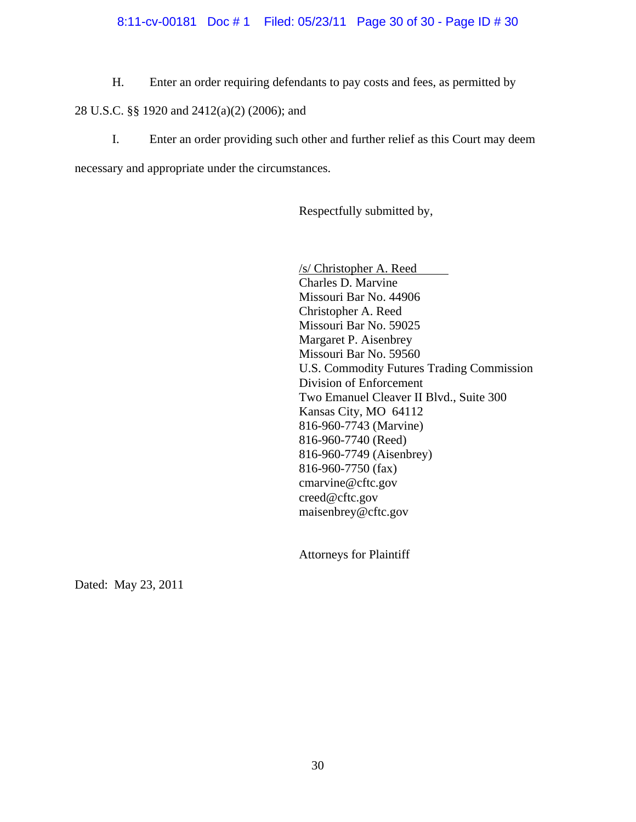## 8:11-cv-00181 Doc # 1 Filed: 05/23/11 Page 30 of 30 - Page ID # 30

H. Enter an order requiring defendants to pay costs and fees, as permitted by

## 28 U.S.C. §§ 1920 and 2412(a)(2) (2006); and

I. Enter an order providing such other and further relief as this Court may deem

necessary and appropriate under the circumstances.

Respectfully submitted by,

/s/ Christopher A. Reed Charles D. Marvine Missouri Bar No. 44906 Christopher A. Reed Missouri Bar No. 59025 Margaret P. Aisenbrey Missouri Bar No. 59560 U.S. Commodity Futures Trading Commission Division of Enforcement Two Emanuel Cleaver II Blvd., Suite 300 Kansas City, MO 64112 816-960-7743 (Marvine) 816-960-7740 (Reed) 816-960-7749 (Aisenbrey) 816-960-7750 (fax) cmarvine@cftc.gov creed@cftc.gov maisenbrey@cftc.gov

Attorneys for Plaintiff

Dated: May 23, 2011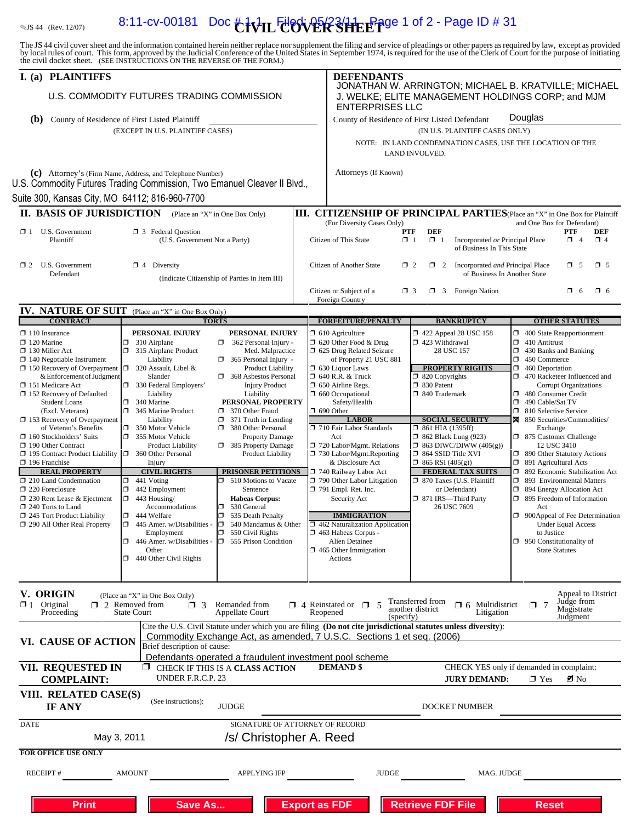# $\frac{1}{2}$   $\frac{1}{2}$   $\frac{1}{2}$   $\frac{1}{2}$   $\frac{1}{2}$   $\frac{1}{2}$   $\frac{1}{2}$   $\frac{1}{2}$   $\frac{1}{2}$   $\frac{1}{2}$   $\frac{1}{2}$   $\frac{1}{2}$   $\frac{1}{2}$   $\frac{1}{2}$   $\frac{1}{2}$   $\frac{1}{2}$   $\frac{1}{2}$   $\frac{1}{2}$   $\frac{1}{2}$   $\frac{1}{2}$   $\frac{1}{2}$   $\frac{1}{2}$

The JS 44 civil cover sheet and the information contained herein neither replace nor supplement the filing and service of pleadings or other papers as required by law, except as provided<br>by local rules of court. This form,

| I. (a) PLAINTIFFS                                                                                                                                                                                               |                                                                                                          |  | <b>DEFENDANTS</b>                                                                                                                   |                                                                                        |                                                                                |  |  |
|-----------------------------------------------------------------------------------------------------------------------------------------------------------------------------------------------------------------|----------------------------------------------------------------------------------------------------------|--|-------------------------------------------------------------------------------------------------------------------------------------|----------------------------------------------------------------------------------------|--------------------------------------------------------------------------------|--|--|
| U.S. COMMODITY FUTURES TRADING COMMISSION                                                                                                                                                                       |                                                                                                          |  | JONATHAN W. ARRINGTON; MICHAEL B. KRATVILLE; MICHAEL<br>J. WELKE; ELITE MANAGEMENT HOLDINGS CORP; and MJM<br><b>ENTERPRISES LLC</b> |                                                                                        |                                                                                |  |  |
| (b)<br>County of Residence of First Listed Plaintiff                                                                                                                                                            |                                                                                                          |  |                                                                                                                                     | County of Residence of First Listed Defendant                                          | Douglas                                                                        |  |  |
|                                                                                                                                                                                                                 | (EXCEPT IN U.S. PLAINTIFF CASES)                                                                         |  |                                                                                                                                     | (IN U.S. PLAINTIFF CASES ONLY)                                                         |                                                                                |  |  |
|                                                                                                                                                                                                                 |                                                                                                          |  | NOTE: IN LAND CONDEMNATION CASES, USE THE LOCATION OF THE<br>LAND INVOLVED.                                                         |                                                                                        |                                                                                |  |  |
|                                                                                                                                                                                                                 | (c) Attorney's (Firm Name, Address, and Telephone Number)                                                |  | Attorneys (If Known)                                                                                                                |                                                                                        |                                                                                |  |  |
| U.S. Commodity Futures Trading Commission, Two Emanuel Cleaver II Blvd.,                                                                                                                                        |                                                                                                          |  |                                                                                                                                     |                                                                                        |                                                                                |  |  |
| Suite 300, Kansas City, MO 64112; 816-960-7700                                                                                                                                                                  |                                                                                                          |  |                                                                                                                                     |                                                                                        |                                                                                |  |  |
| <b>II. BASIS OF JURISDICTION</b>                                                                                                                                                                                | (Place an "X" in One Box Only)                                                                           |  |                                                                                                                                     |                                                                                        | III. CITIZENSHIP OF PRINCIPAL PARTIES(Place an "X" in One Box for Plaintiff    |  |  |
| $\mathbf{\times}$ 1 U.S. Government<br>Plaintiff                                                                                                                                                                | <b>3</b> Federal Question<br>(U.S. Government Not a Party)                                               |  | (For Diversity Cases Only)<br><b>PTF</b><br>Citizen of This State<br>$\Box$ 1                                                       | <b>DEF</b><br>$\Box$ 1<br>Incorporated or Principal Place<br>of Business In This State | and One Box for Defendant)<br><b>PTF</b><br><b>DEF</b><br>$\Box$ 4<br>$\Box$ 4 |  |  |
| $\Box$ 2 U.S. Government                                                                                                                                                                                        | $\Box$ 4 Diversity                                                                                       |  | Citizen of Another State                                                                                                            | $\Box$ 2<br>$\Box$ 2<br>Incorporated and Principal Place                               | $\Box$ 5<br>$\Box$ 5                                                           |  |  |
| Defendant                                                                                                                                                                                                       | (Indicate Citizenship of Parties in Item III)                                                            |  |                                                                                                                                     | of Business In Another State                                                           |                                                                                |  |  |
|                                                                                                                                                                                                                 |                                                                                                          |  | Citizen or Subject of a                                                                                                             | $\Box$ 3 Foreign Nation<br>$\Box$ 3                                                    | $\square$ 6<br>$\Box$ 6                                                        |  |  |
|                                                                                                                                                                                                                 |                                                                                                          |  | Foreign Country                                                                                                                     |                                                                                        |                                                                                |  |  |
| <b>IV. NATURE OF SUIT</b><br><b>CONTRACT</b>                                                                                                                                                                    | (Place an "X" in One Box Only)<br><b>TORTS</b>                                                           |  | <b>FORFEITURE/PENALTY</b>                                                                                                           | <b>BANKRUPTCY</b>                                                                      | <b>OTHER STATUTES</b>                                                          |  |  |
| $\Box$ 110 Insurance                                                                                                                                                                                            | PERSONAL INJURY<br>PERSONAL INJURY                                                                       |  | $\Box$ 610 Agriculture                                                                                                              | $\Box$ 422 Appeal 28 USC 158                                                           | $\Box$ 400 State Reapportionment                                               |  |  |
| $\Box$ 120 Marine<br>$\Box$ 130 Miller Act                                                                                                                                                                      | 310 Airplane<br>362 Personal Injury -<br>$\Box$<br>ο.<br>$\Box$ 315 Airplane Product<br>Med. Malpractice |  | $\Box$ 620 Other Food & Drug<br>1 625 Drug Related Seizure                                                                          | □ 423 Withdrawal<br>28 USC 157                                                         | $\Box$ 410 Antitrust<br>1 430 Banks and Banking                                |  |  |
| $\Box$ 140 Negotiable Instrument                                                                                                                                                                                | Liability<br>365 Personal Injury -<br>Π.                                                                 |  | of Property 21 USC 881                                                                                                              |                                                                                        | $\Box$ 450 Commerce                                                            |  |  |
| $\Box$ 150 Recovery of Overpayment<br>& Enforcement of Judgment                                                                                                                                                 | $\Box$ 320 Assault, Libel &<br><b>Product Liability</b><br>Slander<br>368 Asbestos Personal              |  | $\Box$ 630 Liquor Laws<br>$\Box$ 640 R.R. & Truck                                                                                   | <b>PROPERTY RIGHTS</b><br>$\Box$ 820 Copyrights                                        | $\Box$ 460 Deportation<br>470 Racketeer Influenced and                         |  |  |
| 151 Medicare Act                                                                                                                                                                                                | 330 Federal Employers'<br><b>Injury Product</b>                                                          |  | $\Box$ 650 Airline Regs.                                                                                                            | 30 Patent                                                                              | Corrupt Organizations                                                          |  |  |
| $\Box$ 152 Recovery of Defaulted<br><b>Student Loans</b>                                                                                                                                                        | Liability<br>Liability<br>$\Box$<br>340 Marine<br>PERSONAL PROPERTY                                      |  | 1 660 Occupational<br>Safety/Health                                                                                                 | □ 840 Trademark                                                                        | 480 Consumer Credit<br>490 Cable/Sat TV<br>α.                                  |  |  |
| (Excl. Veterans)                                                                                                                                                                                                | 345 Marine Product<br>370 Other Fraud                                                                    |  | $\Box$ 690 Other                                                                                                                    |                                                                                        | □ 810 Selective Service                                                        |  |  |
| $\Box$ 153 Recovery of Overpayment<br>of Veteran's Benefits                                                                                                                                                     | Liability<br>$\Box$ 371 Truth in Lending<br>$\Box$<br>350 Motor Vehicle<br>380 Other Personal            |  | <b>LABOR</b><br>710 Fair Labor Standards                                                                                            | <b>SOCIAL SECURITY</b><br>$\Box$ 861 HIA (1395ff)                                      | 850 Securities/Commodities/                                                    |  |  |
| $\Box$ 160 Stockholders' Suits                                                                                                                                                                                  | 355 Motor Vehicle<br><b>Property Damage</b>                                                              |  | Act                                                                                                                                 | <b>1</b> 862 Black Lung (923)                                                          | Exchange<br>□ 875 Customer Challenge                                           |  |  |
| 190 Other Contract<br>□ 195 Contract Product Liability □ 360 Other Personal                                                                                                                                     | 385 Property Damage<br><b>Product Liability</b><br><b>Product Liability</b>                              |  | 720 Labor/Mgmt. Relations<br>730 Labor/Mgmt.Reporting                                                                               | $\Box$ 863 DIWC/DIWW (405(g))<br>□ 864 SSID Title XVI                                  | 12 USC 3410<br>□ 890 Other Statutory Actions                                   |  |  |
| $\Box$ 196 Franchise                                                                                                                                                                                            | Injury                                                                                                   |  | & Disclosure Act                                                                                                                    | $\Box$ 865 RSI (405(g))                                                                | □ 891 Agricultural Acts                                                        |  |  |
| <b>REAL PROPERTY</b><br>210 Land Condemnation                                                                                                                                                                   | PRISONER PETITIONS<br><b>CIVIL RIGHTS</b><br>510 Motions to Vacate<br>$\Box$ 441 Voting                  |  | 740 Railway Labor Act<br>790 Other Labor Litigation                                                                                 | <b>FEDERAL TAX SUITS</b><br>□ 870 Taxes (U.S. Plaintiff                                | □ 892 Economic Stabilization Act<br>□ 893 Environmental Matters                |  |  |
| $\Box$ 220 Foreclosure                                                                                                                                                                                          | $\Box$<br>442 Employment<br>Sentence                                                                     |  | $\Box$ 791 Empl. Ret. Inc.                                                                                                          | or Defendant)                                                                          | □ 894 Energy Allocation Act                                                    |  |  |
| $\Box$ 230 Rent Lease & Ejectment<br>$\Box$ 240 Torts to Land                                                                                                                                                   | $\Box$ 443 Housing/<br><b>Habeas Corpus:</b><br>530 General<br>Accommodations<br>σ                       |  | Security Act                                                                                                                        | 371 IRS-Third Party<br>26 USC 7609                                                     | □ 895 Freedom of Information<br>Act                                            |  |  |
| 245 Tort Product Liability                                                                                                                                                                                      | $\Box$<br>444 Welfare<br>σ<br>535 Death Penalty                                                          |  | <b>IMMIGRATION</b>                                                                                                                  |                                                                                        | □ 900Appeal of Fee Determination                                               |  |  |
| 290 All Other Real Property                                                                                                                                                                                     | D.<br>$\Box$ 445 Amer. w/Disabilities -<br>540 Mandamus & Other<br>n.<br>550 Civil Rights<br>Employment  |  | $\Box$ 462 Naturalization Application<br>1463 Habeas Corpus -                                                                       |                                                                                        | <b>Under Equal Access</b><br>to Justice                                        |  |  |
|                                                                                                                                                                                                                 | $\Box$ 446 Amer. w/Disabilities - $\Box$ 555 Prison Condition                                            |  | Alien Detainee                                                                                                                      |                                                                                        | $\Box$ 950 Constitutionality of                                                |  |  |
|                                                                                                                                                                                                                 | Other<br>$\Box$ 440 Other Civil Rights                                                                   |  | $\Box$ 465 Other Immigration<br>Actions                                                                                             |                                                                                        | <b>State Statutes</b>                                                          |  |  |
|                                                                                                                                                                                                                 |                                                                                                          |  |                                                                                                                                     |                                                                                        |                                                                                |  |  |
|                                                                                                                                                                                                                 |                                                                                                          |  |                                                                                                                                     |                                                                                        |                                                                                |  |  |
| V. ORIGIN                                                                                                                                                                                                       | (Place an "X" in One Box Only)                                                                           |  |                                                                                                                                     | Transferred from                                                                       | Appeal to District<br>Judge from                                               |  |  |
| $\mathbf{\Sigma}$ 1 Original<br>Proceeding                                                                                                                                                                      | $\Box$ 2 Removed from<br>$\Box$ 3<br>Remanded from<br><b>State Court</b><br>Appellate Court              |  | $\Box$ 4 Reinstated or $\Box$ 5<br>Reopened                                                                                         | $\Box$ 6 Multidistrict<br>another district<br>Litigation                               | $\mathsf{\Pi}$ 7<br>Magistrate                                                 |  |  |
|                                                                                                                                                                                                                 |                                                                                                          |  | (specify)                                                                                                                           |                                                                                        | Judgment                                                                       |  |  |
| Cite the U.S. Civil Statute under which you are filing (Do not cite jurisdictional statutes unless diversity):<br>Commodity Exchange Act, as amended, 7 U.S.C. Sections 1 et seq. (2006)<br>VI. CAUSE OF ACTION |                                                                                                          |  |                                                                                                                                     |                                                                                        |                                                                                |  |  |
|                                                                                                                                                                                                                 | Brief description of cause:                                                                              |  |                                                                                                                                     |                                                                                        |                                                                                |  |  |
| VII. REQUESTED IN                                                                                                                                                                                               | Defendants operated a fraudulent investment pool scheme<br>CHECK IF THIS IS A CLASS ACTION<br>ப          |  | <b>DEMAND</b> \$                                                                                                                    |                                                                                        | CHECK YES only if demanded in complaint:                                       |  |  |
| <b>COMPLAINT:</b>                                                                                                                                                                                               | UNDER F.R.C.P. 23                                                                                        |  |                                                                                                                                     | <b>JURY DEMAND:</b>                                                                    | $\blacksquare$ No<br>$\Box$ Yes                                                |  |  |
| VIII. RELATED CASE(S)<br>(See instructions):<br>IF ANY<br><b>JUDGE</b><br>DOCKET NUMBER                                                                                                                         |                                                                                                          |  |                                                                                                                                     |                                                                                        |                                                                                |  |  |
| SIGNATURE OF ATTORNEY OF RECORD<br><b>DATE</b>                                                                                                                                                                  |                                                                                                          |  |                                                                                                                                     |                                                                                        |                                                                                |  |  |
| /s/ Christopher A. Reed<br>May 3, 2011                                                                                                                                                                          |                                                                                                          |  |                                                                                                                                     |                                                                                        |                                                                                |  |  |
| FOR OFFICE USE ONLY                                                                                                                                                                                             |                                                                                                          |  |                                                                                                                                     |                                                                                        |                                                                                |  |  |
|                                                                                                                                                                                                                 |                                                                                                          |  |                                                                                                                                     |                                                                                        |                                                                                |  |  |
| <b>RECEIPT#</b>                                                                                                                                                                                                 | <b>AMOUNT</b><br><b>APPLYING IFP</b>                                                                     |  | <b>JUDGE</b>                                                                                                                        | MAG. JUDGE                                                                             |                                                                                |  |  |
|                                                                                                                                                                                                                 |                                                                                                          |  |                                                                                                                                     |                                                                                        |                                                                                |  |  |
| <b>Retrieve FDF File</b><br><b>Export as FDF</b><br>Save As<br><b>Print</b><br><b>Reset</b>                                                                                                                     |                                                                                                          |  |                                                                                                                                     |                                                                                        |                                                                                |  |  |